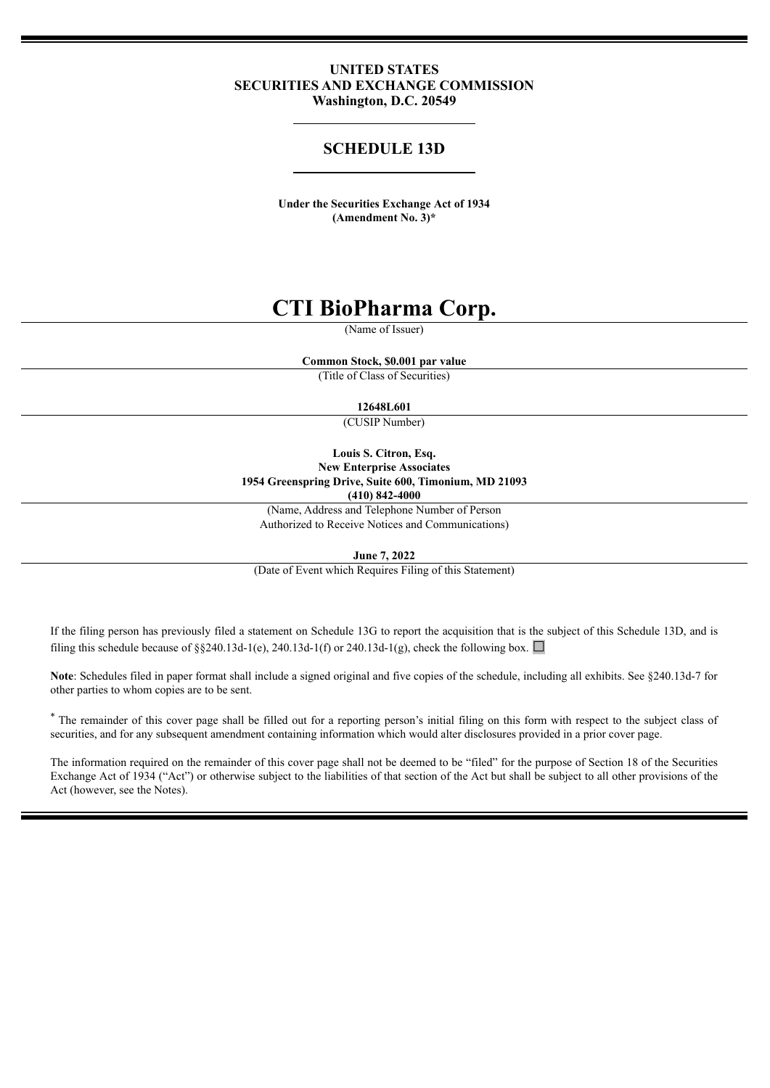### **UNITED STATES SECURITIES AND EXCHANGE COMMISSION Washington, D.C. 20549**

### **SCHEDULE 13D**

**Under the Securities Exchange Act of 1934 (Amendment No. 3)\***

# **CTI BioPharma Corp.**

(Name of Issuer)

**Common Stock, \$0.001 par value**

(Title of Class of Securities)

### **12648L601**

(CUSIP Number)

**Louis S. Citron, Esq. New Enterprise Associates 1954 Greenspring Drive, Suite 600, Timonium, MD 21093 (410) 842-4000**

(Name, Address and Telephone Number of Person

Authorized to Receive Notices and Communications)

**June 7, 2022**

(Date of Event which Requires Filing of this Statement)

If the filing person has previously filed a statement on Schedule 13G to report the acquisition that is the subject of this Schedule 13D, and is filing this schedule because of §§240.13d-1(e), 240.13d-1(f) or 240.13d-1(g), check the following box.  $\Box$ 

Note: Schedules filed in paper format shall include a signed original and five copies of the schedule, including all exhibits. See §240.13d-7 for other parties to whom copies are to be sent.

\* The remainder of this cover page shall be filled out for a reporting person's initial filing on this form with respect to the subject class of securities, and for any subsequent amendment containing information which would alter disclosures provided in a prior cover page.

The information required on the remainder of this cover page shall not be deemed to be "filed" for the purpose of Section 18 of the Securities Exchange Act of 1934 ("Act") or otherwise subject to the liabilities of that section of the Act but shall be subject to all other provisions of the Act (however, see the Notes).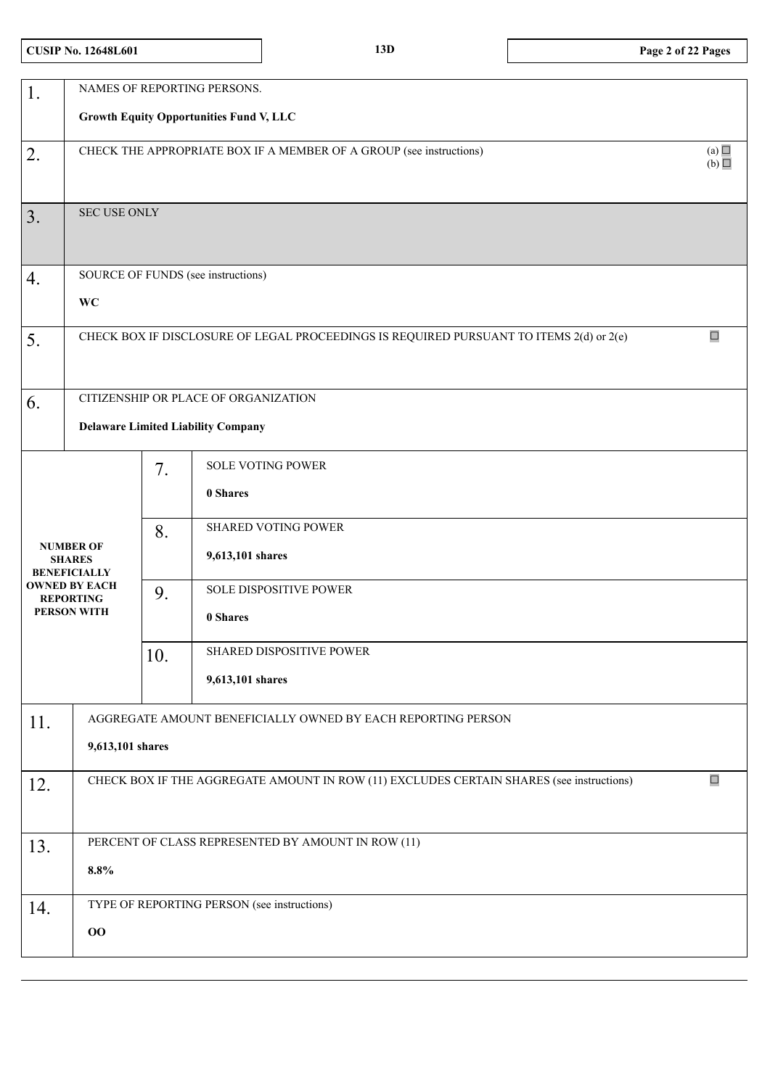# **CUSIP No. 12648L601 13D Page 2 of 22 Pages**

| 1.                                                       | NAMES OF REPORTING PERSONS.                                                                        |     |                                                    |  |  |  |  |
|----------------------------------------------------------|----------------------------------------------------------------------------------------------------|-----|----------------------------------------------------|--|--|--|--|
|                                                          |                                                                                                    |     | <b>Growth Equity Opportunities Fund V, LLC</b>     |  |  |  |  |
| 2.                                                       | (a)<br>CHECK THE APPROPRIATE BOX IF A MEMBER OF A GROUP (see instructions)<br>(b)                  |     |                                                    |  |  |  |  |
| 3.                                                       | <b>SEC USE ONLY</b>                                                                                |     |                                                    |  |  |  |  |
| 4.                                                       |                                                                                                    |     | SOURCE OF FUNDS (see instructions)                 |  |  |  |  |
|                                                          | <b>WC</b>                                                                                          |     |                                                    |  |  |  |  |
| 5.                                                       | $\Box$<br>CHECK BOX IF DISCLOSURE OF LEGAL PROCEEDINGS IS REQUIRED PURSUANT TO ITEMS 2(d) or 2(e)  |     |                                                    |  |  |  |  |
| 6.                                                       | CITIZENSHIP OR PLACE OF ORGANIZATION                                                               |     |                                                    |  |  |  |  |
|                                                          | <b>Delaware Limited Liability Company</b>                                                          |     |                                                    |  |  |  |  |
|                                                          |                                                                                                    | 7.  | <b>SOLE VOTING POWER</b><br>0 Shares               |  |  |  |  |
| <b>NUMBER OF</b><br><b>SHARES</b><br><b>BENEFICIALLY</b> |                                                                                                    | 8.  | <b>SHARED VOTING POWER</b><br>9,613,101 shares     |  |  |  |  |
|                                                          | <b>OWNED BY EACH</b><br><b>REPORTING</b><br><b>PERSON WITH</b>                                     | 9.  | SOLE DISPOSITIVE POWER<br>0 Shares                 |  |  |  |  |
|                                                          |                                                                                                    | 10. | SHARED DISPOSITIVE POWER                           |  |  |  |  |
|                                                          |                                                                                                    |     | 9,613,101 shares                                   |  |  |  |  |
| 11.                                                      | AGGREGATE AMOUNT BENEFICIALLY OWNED BY EACH REPORTING PERSON<br>9,613,101 shares                   |     |                                                    |  |  |  |  |
|                                                          |                                                                                                    |     |                                                    |  |  |  |  |
| 12.                                                      | $\Box$<br>CHECK BOX IF THE AGGREGATE AMOUNT IN ROW (11) EXCLUDES CERTAIN SHARES (see instructions) |     |                                                    |  |  |  |  |
| 13.                                                      |                                                                                                    |     | PERCENT OF CLASS REPRESENTED BY AMOUNT IN ROW (11) |  |  |  |  |
|                                                          | 8.8%                                                                                               |     |                                                    |  |  |  |  |
| 14.                                                      |                                                                                                    |     | TYPE OF REPORTING PERSON (see instructions)        |  |  |  |  |
|                                                          | 00                                                                                                 |     |                                                    |  |  |  |  |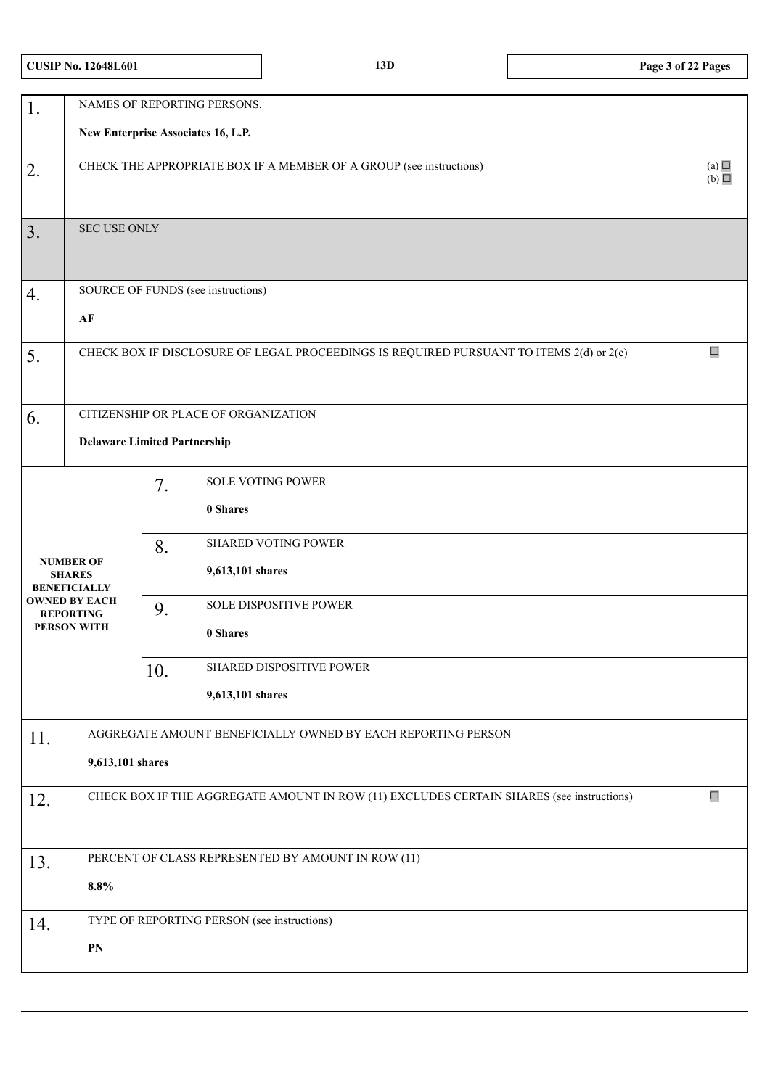| <b>CUSIP No. 12648L601</b> |  |
|----------------------------|--|
|----------------------------|--|

| 1.  |                                                                                                   |     | NAMES OF REPORTING PERSONS.<br>New Enterprise Associates 16, L.P.                        |        |  |  |
|-----|---------------------------------------------------------------------------------------------------|-----|------------------------------------------------------------------------------------------|--------|--|--|
|     |                                                                                                   |     |                                                                                          |        |  |  |
| 2.  | (a)<br>CHECK THE APPROPRIATE BOX IF A MEMBER OF A GROUP (see instructions)<br>(b)                 |     |                                                                                          |        |  |  |
| 3.  | <b>SEC USE ONLY</b>                                                                               |     |                                                                                          |        |  |  |
| 4.  |                                                                                                   |     | SOURCE OF FUNDS (see instructions)                                                       |        |  |  |
|     | AF                                                                                                |     |                                                                                          |        |  |  |
| 5.  | $\Box$<br>CHECK BOX IF DISCLOSURE OF LEGAL PROCEEDINGS IS REQUIRED PURSUANT TO ITEMS 2(d) or 2(e) |     |                                                                                          |        |  |  |
| 6.  |                                                                                                   |     | CITIZENSHIP OR PLACE OF ORGANIZATION                                                     |        |  |  |
|     | <b>Delaware Limited Partnership</b>                                                               |     |                                                                                          |        |  |  |
|     |                                                                                                   | 7.  | <b>SOLE VOTING POWER</b>                                                                 |        |  |  |
|     |                                                                                                   |     | 0 Shares                                                                                 |        |  |  |
|     |                                                                                                   | 8.  | <b>SHARED VOTING POWER</b>                                                               |        |  |  |
|     | <b>NUMBER OF</b><br><b>SHARES</b><br><b>BENEFICIALLY</b>                                          |     | 9,613,101 shares                                                                         |        |  |  |
|     | <b>OWNED BY EACH</b><br><b>REPORTING</b>                                                          | 9.  | <b>SOLE DISPOSITIVE POWER</b>                                                            |        |  |  |
|     | <b>PERSON WITH</b>                                                                                |     | 0 Shares                                                                                 |        |  |  |
|     |                                                                                                   | 10. | SHARED DISPOSITIVE POWER                                                                 |        |  |  |
|     |                                                                                                   |     | 9,613,101 shares                                                                         |        |  |  |
| 11. |                                                                                                   |     | AGGREGATE AMOUNT BENEFICIALLY OWNED BY EACH REPORTING PERSON                             |        |  |  |
|     | 9,613,101 shares                                                                                  |     |                                                                                          |        |  |  |
| 12. |                                                                                                   |     | CHECK BOX IF THE AGGREGATE AMOUNT IN ROW (11) EXCLUDES CERTAIN SHARES (see instructions) | $\Box$ |  |  |
|     |                                                                                                   |     |                                                                                          |        |  |  |
| 13. |                                                                                                   |     | PERCENT OF CLASS REPRESENTED BY AMOUNT IN ROW (11)                                       |        |  |  |
|     | 8.8%                                                                                              |     |                                                                                          |        |  |  |
| 14. |                                                                                                   |     | TYPE OF REPORTING PERSON (see instructions)                                              |        |  |  |
|     | PN                                                                                                |     |                                                                                          |        |  |  |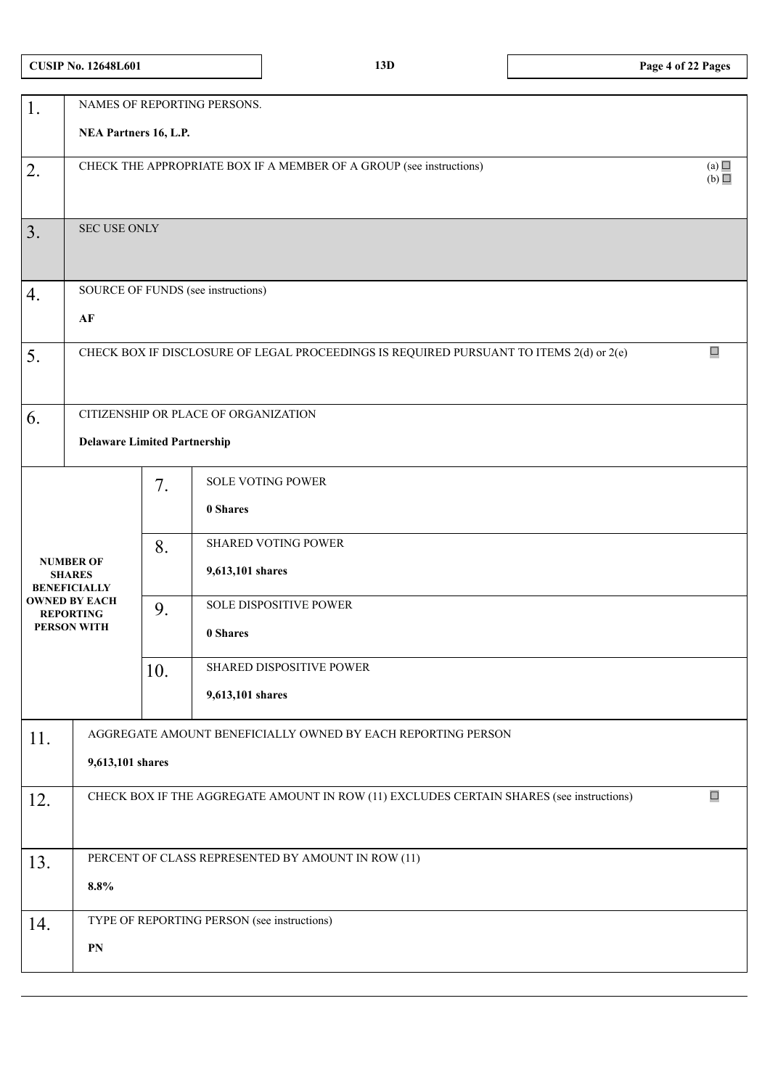| 1.  | NAMES OF REPORTING PERSONS.                                                                        |     |                                                                                         |        |  |  |  |
|-----|----------------------------------------------------------------------------------------------------|-----|-----------------------------------------------------------------------------------------|--------|--|--|--|
|     | NEA Partners 16, L.P.                                                                              |     |                                                                                         |        |  |  |  |
| 2.  | CHECK THE APPROPRIATE BOX IF A MEMBER OF A GROUP (see instructions)                                |     |                                                                                         |        |  |  |  |
|     | (b)                                                                                                |     |                                                                                         |        |  |  |  |
|     |                                                                                                    |     |                                                                                         |        |  |  |  |
| 3.  | <b>SEC USE ONLY</b>                                                                                |     |                                                                                         |        |  |  |  |
|     |                                                                                                    |     |                                                                                         |        |  |  |  |
| 4.  |                                                                                                    |     | SOURCE OF FUNDS (see instructions)                                                      |        |  |  |  |
|     | AF                                                                                                 |     |                                                                                         |        |  |  |  |
|     |                                                                                                    |     |                                                                                         |        |  |  |  |
| 5.  |                                                                                                    |     | CHECK BOX IF DISCLOSURE OF LEGAL PROCEEDINGS IS REQUIRED PURSUANT TO ITEMS 2(d) or 2(e) | $\Box$ |  |  |  |
|     |                                                                                                    |     |                                                                                         |        |  |  |  |
|     |                                                                                                    |     |                                                                                         |        |  |  |  |
| 6.  | CITIZENSHIP OR PLACE OF ORGANIZATION                                                               |     |                                                                                         |        |  |  |  |
|     | <b>Delaware Limited Partnership</b>                                                                |     |                                                                                         |        |  |  |  |
|     |                                                                                                    | 7.  | <b>SOLE VOTING POWER</b>                                                                |        |  |  |  |
|     |                                                                                                    |     | 0 Shares                                                                                |        |  |  |  |
|     |                                                                                                    |     |                                                                                         |        |  |  |  |
|     |                                                                                                    | 8.  | <b>SHARED VOTING POWER</b>                                                              |        |  |  |  |
|     | <b>NUMBER OF</b><br><b>SHARES</b>                                                                  |     | 9,613,101 shares                                                                        |        |  |  |  |
|     | <b>BENEFICIALLY</b><br><b>OWNED BY EACH</b>                                                        |     | <b>SOLE DISPOSITIVE POWER</b>                                                           |        |  |  |  |
|     | <b>REPORTING</b><br><b>PERSON WITH</b>                                                             | 9.  |                                                                                         |        |  |  |  |
|     |                                                                                                    |     | 0 Shares                                                                                |        |  |  |  |
|     |                                                                                                    | 10. | SHARED DISPOSITIVE POWER                                                                |        |  |  |  |
|     |                                                                                                    |     | 9,613,101 shares                                                                        |        |  |  |  |
|     |                                                                                                    |     |                                                                                         |        |  |  |  |
| 11. | AGGREGATE AMOUNT BENEFICIALLY OWNED BY EACH REPORTING PERSON                                       |     |                                                                                         |        |  |  |  |
|     | 9,613,101 shares                                                                                   |     |                                                                                         |        |  |  |  |
| 12. | $\Box$<br>CHECK BOX IF THE AGGREGATE AMOUNT IN ROW (11) EXCLUDES CERTAIN SHARES (see instructions) |     |                                                                                         |        |  |  |  |
|     |                                                                                                    |     |                                                                                         |        |  |  |  |
|     |                                                                                                    |     |                                                                                         |        |  |  |  |
| 13. |                                                                                                    |     | PERCENT OF CLASS REPRESENTED BY AMOUNT IN ROW (11)                                      |        |  |  |  |
|     | 8.8%                                                                                               |     |                                                                                         |        |  |  |  |
|     |                                                                                                    |     | TYPE OF REPORTING PERSON (see instructions)                                             |        |  |  |  |
| 14. |                                                                                                    |     |                                                                                         |        |  |  |  |
|     | ${\bf PN}$                                                                                         |     |                                                                                         |        |  |  |  |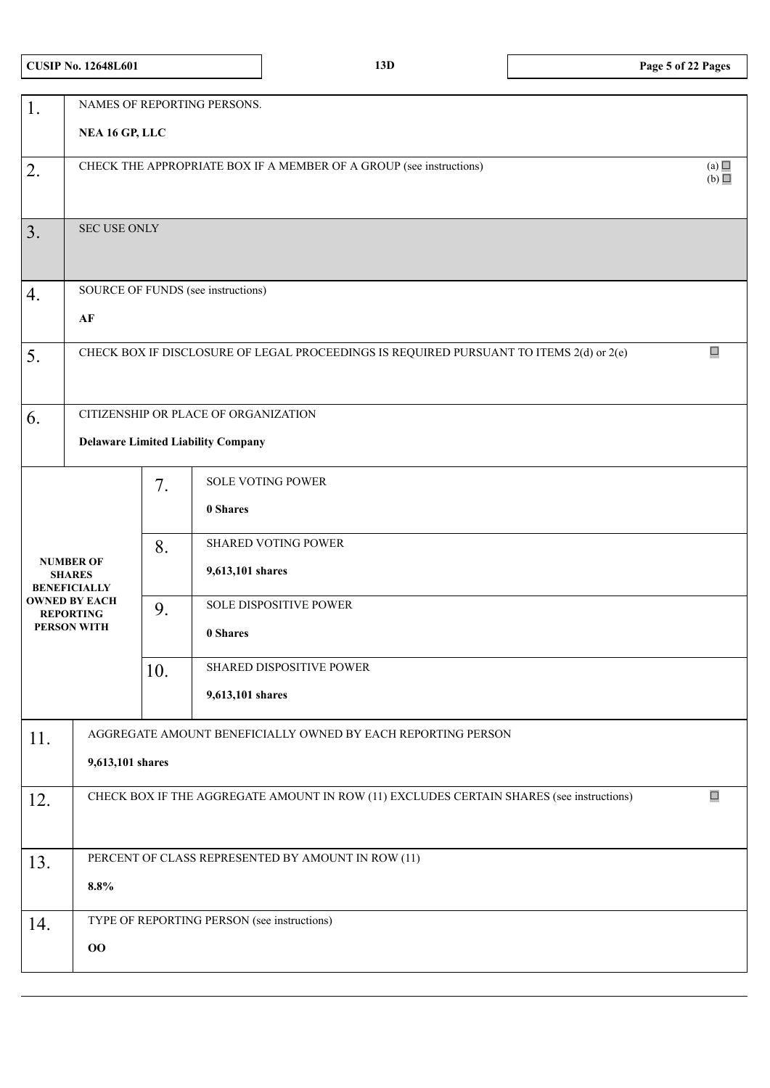| <b>CUSIP No. 12648L601</b> |  |
|----------------------------|--|
|----------------------------|--|

| 1.  | NAMES OF REPORTING PERSONS.<br>NEA 16 GP, LLC                                                      |     |                                                              |        |  |  |  |
|-----|----------------------------------------------------------------------------------------------------|-----|--------------------------------------------------------------|--------|--|--|--|
|     |                                                                                                    |     |                                                              |        |  |  |  |
| 2.  | (a)<br>CHECK THE APPROPRIATE BOX IF A MEMBER OF A GROUP (see instructions)<br>(b)                  |     |                                                              |        |  |  |  |
| 3.  | SEC USE ONLY                                                                                       |     |                                                              |        |  |  |  |
|     |                                                                                                    |     |                                                              |        |  |  |  |
| 4.  |                                                                                                    |     | SOURCE OF FUNDS (see instructions)                           |        |  |  |  |
|     | $\bf AF$                                                                                           |     |                                                              | $\Box$ |  |  |  |
| 5.  | CHECK BOX IF DISCLOSURE OF LEGAL PROCEEDINGS IS REQUIRED PURSUANT TO ITEMS 2(d) or 2(e)            |     |                                                              |        |  |  |  |
|     |                                                                                                    |     |                                                              |        |  |  |  |
| 6.  |                                                                                                    |     | CITIZENSHIP OR PLACE OF ORGANIZATION                         |        |  |  |  |
|     |                                                                                                    |     |                                                              |        |  |  |  |
|     |                                                                                                    |     | <b>Delaware Limited Liability Company</b>                    |        |  |  |  |
|     |                                                                                                    |     | SOLE VOTING POWER                                            |        |  |  |  |
|     |                                                                                                    | 7.  |                                                              |        |  |  |  |
|     |                                                                                                    |     | 0 Shares                                                     |        |  |  |  |
|     |                                                                                                    | 8.  | <b>SHARED VOTING POWER</b>                                   |        |  |  |  |
|     | <b>NUMBER OF</b><br><b>SHARES</b><br><b>BENEFICIALLY</b>                                           |     | 9,613,101 shares                                             |        |  |  |  |
|     | <b>OWNED BY EACH</b>                                                                               | 9.  | SOLE DISPOSITIVE POWER                                       |        |  |  |  |
|     | <b>REPORTING</b><br><b>PERSON WITH</b>                                                             |     |                                                              |        |  |  |  |
|     |                                                                                                    |     | 0 Shares                                                     |        |  |  |  |
|     |                                                                                                    | 10. | SHARED DISPOSITIVE POWER                                     |        |  |  |  |
|     |                                                                                                    |     | 9,613,101 shares                                             |        |  |  |  |
|     |                                                                                                    |     | AGGREGATE AMOUNT BENEFICIALLY OWNED BY EACH REPORTING PERSON |        |  |  |  |
| 11. |                                                                                                    |     |                                                              |        |  |  |  |
|     | 9,613,101 shares                                                                                   |     |                                                              |        |  |  |  |
| 12. | $\Box$<br>CHECK BOX IF THE AGGREGATE AMOUNT IN ROW (11) EXCLUDES CERTAIN SHARES (see instructions) |     |                                                              |        |  |  |  |
|     |                                                                                                    |     |                                                              |        |  |  |  |
| 13. |                                                                                                    |     | PERCENT OF CLASS REPRESENTED BY AMOUNT IN ROW (11)           |        |  |  |  |
|     |                                                                                                    |     |                                                              |        |  |  |  |
|     | 8.8%                                                                                               |     |                                                              |        |  |  |  |
| 14. |                                                                                                    |     | TYPE OF REPORTING PERSON (see instructions)                  |        |  |  |  |
|     | 00                                                                                                 |     |                                                              |        |  |  |  |
|     |                                                                                                    |     |                                                              |        |  |  |  |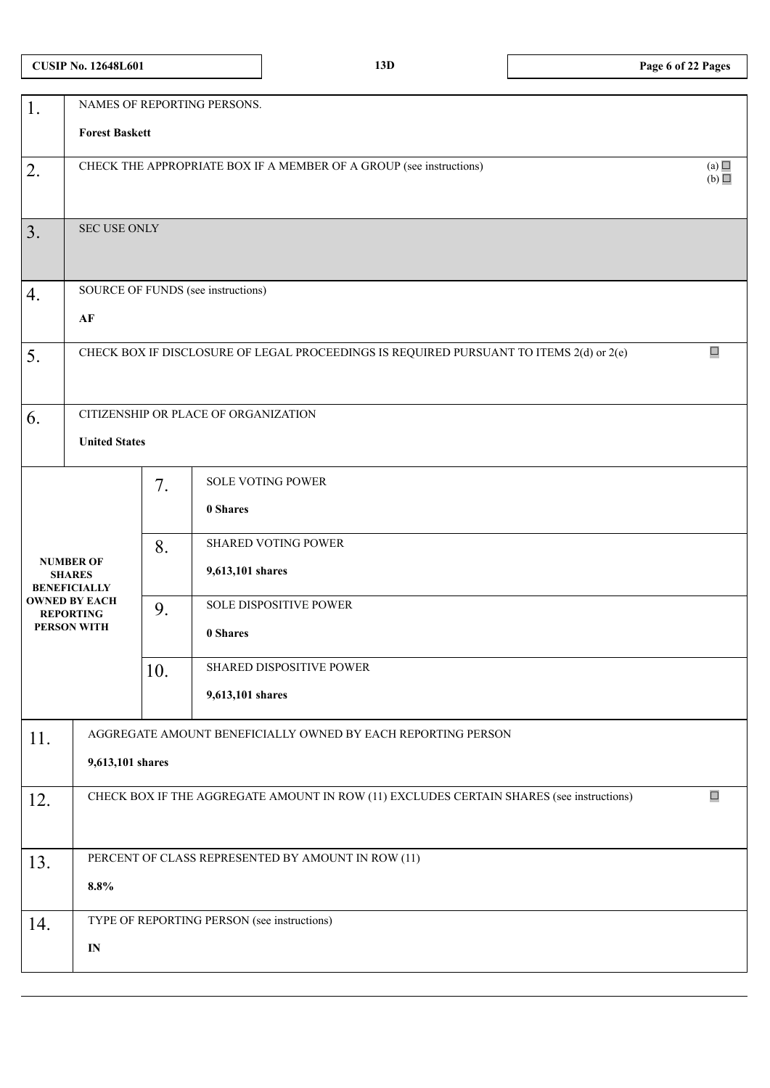| 1.                                                       |                                                                                                    |     | NAMES OF REPORTING PERSONS.                 |  |  |  |  |  |
|----------------------------------------------------------|----------------------------------------------------------------------------------------------------|-----|---------------------------------------------|--|--|--|--|--|
|                                                          | <b>Forest Baskett</b>                                                                              |     |                                             |  |  |  |  |  |
| 2.                                                       | (a)<br>CHECK THE APPROPRIATE BOX IF A MEMBER OF A GROUP (see instructions)<br>(b)                  |     |                                             |  |  |  |  |  |
|                                                          |                                                                                                    |     |                                             |  |  |  |  |  |
| 3.                                                       | SEC USE ONLY                                                                                       |     |                                             |  |  |  |  |  |
|                                                          |                                                                                                    |     |                                             |  |  |  |  |  |
| 4.                                                       |                                                                                                    |     | SOURCE OF FUNDS (see instructions)          |  |  |  |  |  |
|                                                          | $\bf AF$                                                                                           |     |                                             |  |  |  |  |  |
| 5.                                                       | $\Box$<br>CHECK BOX IF DISCLOSURE OF LEGAL PROCEEDINGS IS REQUIRED PURSUANT TO ITEMS 2(d) or 2(e)  |     |                                             |  |  |  |  |  |
|                                                          |                                                                                                    |     |                                             |  |  |  |  |  |
| 6.                                                       | CITIZENSHIP OR PLACE OF ORGANIZATION                                                               |     |                                             |  |  |  |  |  |
|                                                          | <b>United States</b>                                                                               |     |                                             |  |  |  |  |  |
|                                                          |                                                                                                    | 7.  | <b>SOLE VOTING POWER</b>                    |  |  |  |  |  |
|                                                          |                                                                                                    |     | 0 Shares                                    |  |  |  |  |  |
|                                                          |                                                                                                    | 8.  | <b>SHARED VOTING POWER</b>                  |  |  |  |  |  |
| <b>NUMBER OF</b><br><b>SHARES</b><br><b>BENEFICIALLY</b> |                                                                                                    |     | 9,613,101 shares                            |  |  |  |  |  |
|                                                          | <b>OWNED BY EACH</b><br><b>REPORTING</b>                                                           | 9.  | SOLE DISPOSITIVE POWER                      |  |  |  |  |  |
|                                                          | <b>PERSON WITH</b>                                                                                 |     | 0 Shares                                    |  |  |  |  |  |
|                                                          |                                                                                                    | 10. | SHARED DISPOSITIVE POWER                    |  |  |  |  |  |
|                                                          |                                                                                                    |     | 9,613,101 shares                            |  |  |  |  |  |
| 11.                                                      | AGGREGATE AMOUNT BENEFICIALLY OWNED BY EACH REPORTING PERSON                                       |     |                                             |  |  |  |  |  |
|                                                          | 9,613,101 shares                                                                                   |     |                                             |  |  |  |  |  |
| 12.                                                      | $\Box$<br>CHECK BOX IF THE AGGREGATE AMOUNT IN ROW (11) EXCLUDES CERTAIN SHARES (see instructions) |     |                                             |  |  |  |  |  |
|                                                          |                                                                                                    |     |                                             |  |  |  |  |  |
| 13.                                                      | PERCENT OF CLASS REPRESENTED BY AMOUNT IN ROW (11)                                                 |     |                                             |  |  |  |  |  |
|                                                          | $\pmb{8.8\%}$                                                                                      |     |                                             |  |  |  |  |  |
| 14.                                                      |                                                                                                    |     | TYPE OF REPORTING PERSON (see instructions) |  |  |  |  |  |
|                                                          | $\mathbf{IN}$                                                                                      |     |                                             |  |  |  |  |  |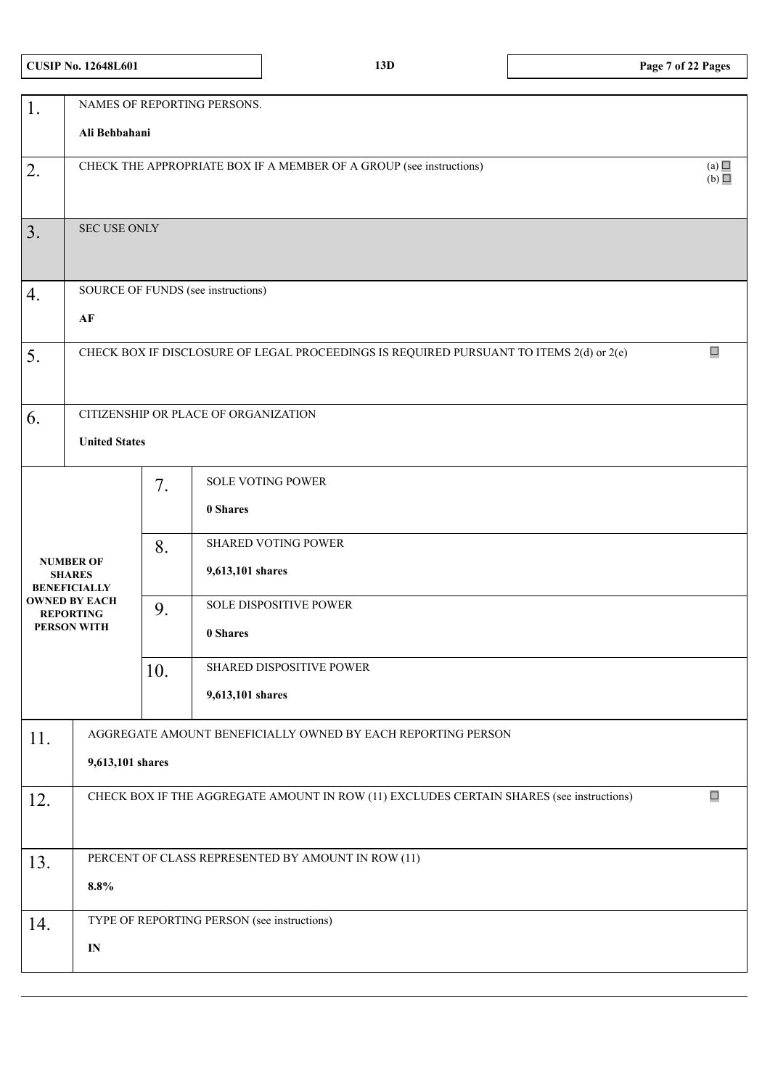|  |  |  | <b>CUSIP No. 12648L601</b> |
|--|--|--|----------------------------|
|--|--|--|----------------------------|

|     |                                                                                                    |     | NAMES OF REPORTING PERSONS.                        |  |  |  |  |
|-----|----------------------------------------------------------------------------------------------------|-----|----------------------------------------------------|--|--|--|--|
| 1.  | Ali Behbahani                                                                                      |     |                                                    |  |  |  |  |
| 2.  | (a)<br>CHECK THE APPROPRIATE BOX IF A MEMBER OF A GROUP (see instructions)<br>(b)                  |     |                                                    |  |  |  |  |
| 3.  | <b>SEC USE ONLY</b>                                                                                |     |                                                    |  |  |  |  |
| 4.  |                                                                                                    |     | SOURCE OF FUNDS (see instructions)                 |  |  |  |  |
|     | AF                                                                                                 |     |                                                    |  |  |  |  |
| 5.  | $\Box$<br>CHECK BOX IF DISCLOSURE OF LEGAL PROCEEDINGS IS REQUIRED PURSUANT TO ITEMS 2(d) or 2(e)  |     |                                                    |  |  |  |  |
| 6.  | CITIZENSHIP OR PLACE OF ORGANIZATION                                                               |     |                                                    |  |  |  |  |
|     | <b>United States</b>                                                                               |     |                                                    |  |  |  |  |
|     |                                                                                                    | 7.  | <b>SOLE VOTING POWER</b><br>0 Shares               |  |  |  |  |
|     |                                                                                                    |     |                                                    |  |  |  |  |
|     | <b>NUMBER OF</b><br><b>SHARES</b>                                                                  | 8.  | <b>SHARED VOTING POWER</b><br>9,613,101 shares     |  |  |  |  |
|     | <b>BENEFICIALLY</b><br><b>OWNED BY EACH</b>                                                        |     | SOLE DISPOSITIVE POWER                             |  |  |  |  |
|     | <b>REPORTING</b><br><b>PERSON WITH</b>                                                             | 9.  |                                                    |  |  |  |  |
|     |                                                                                                    |     | 0 Shares                                           |  |  |  |  |
|     |                                                                                                    | 10. | SHARED DISPOSITIVE POWER                           |  |  |  |  |
|     |                                                                                                    |     | 9,613,101 shares                                   |  |  |  |  |
| 11. | AGGREGATE AMOUNT BENEFICIALLY OWNED BY EACH REPORTING PERSON                                       |     |                                                    |  |  |  |  |
|     | 9,613,101 shares                                                                                   |     |                                                    |  |  |  |  |
| 12. | $\Box$<br>CHECK BOX IF THE AGGREGATE AMOUNT IN ROW (11) EXCLUDES CERTAIN SHARES (see instructions) |     |                                                    |  |  |  |  |
|     |                                                                                                    |     |                                                    |  |  |  |  |
| 13. |                                                                                                    |     | PERCENT OF CLASS REPRESENTED BY AMOUNT IN ROW (11) |  |  |  |  |
|     | $\pmb{8.8\%}$                                                                                      |     |                                                    |  |  |  |  |
| 14. |                                                                                                    |     | TYPE OF REPORTING PERSON (see instructions)        |  |  |  |  |
|     | $\mathbf{IN}$                                                                                      |     |                                                    |  |  |  |  |
|     |                                                                                                    |     |                                                    |  |  |  |  |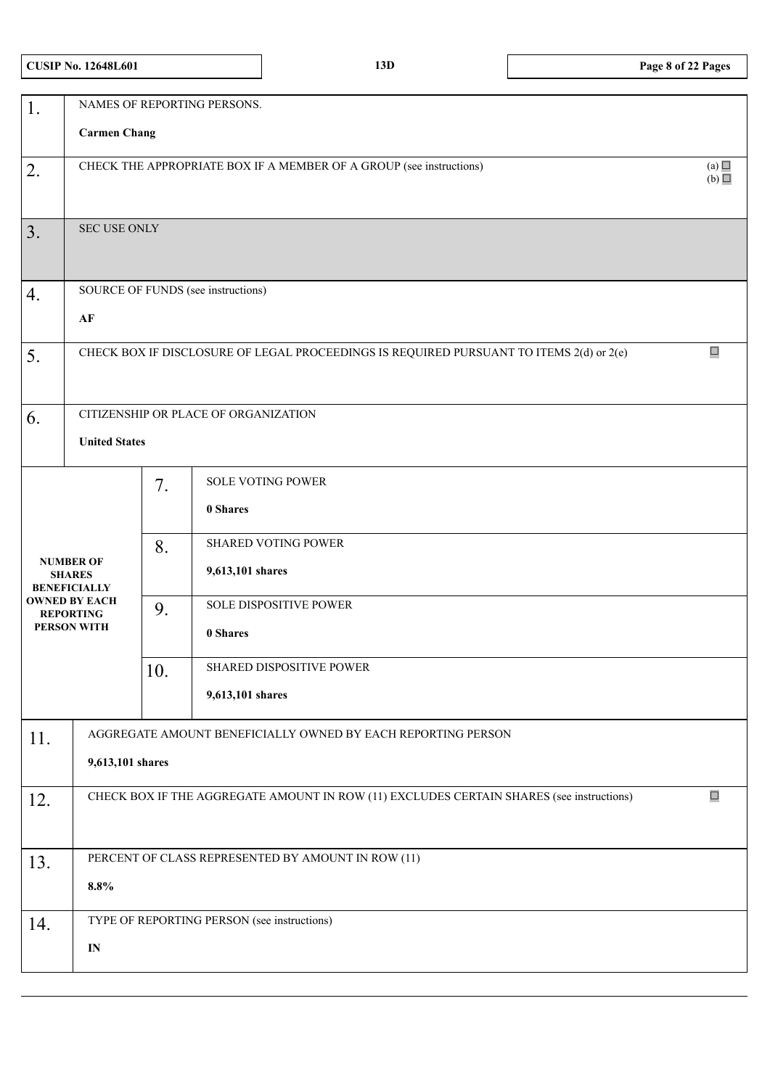|  |  |  | <b>CUSIP No. 12648L601</b> |
|--|--|--|----------------------------|
|--|--|--|----------------------------|

| $\overline{1}$ .                                                                              | NAMES OF REPORTING PERSONS.                                                                        |     |                                                              |        |  |  |  |
|-----------------------------------------------------------------------------------------------|----------------------------------------------------------------------------------------------------|-----|--------------------------------------------------------------|--------|--|--|--|
|                                                                                               | <b>Carmen Chang</b>                                                                                |     |                                                              |        |  |  |  |
|                                                                                               |                                                                                                    |     |                                                              |        |  |  |  |
| 2.                                                                                            | (a) $\Box$<br>CHECK THE APPROPRIATE BOX IF A MEMBER OF A GROUP (see instructions)                  |     |                                                              |        |  |  |  |
|                                                                                               |                                                                                                    |     |                                                              | (b)    |  |  |  |
|                                                                                               |                                                                                                    |     |                                                              |        |  |  |  |
| 3.                                                                                            | SEC USE ONLY                                                                                       |     |                                                              |        |  |  |  |
|                                                                                               |                                                                                                    |     |                                                              |        |  |  |  |
|                                                                                               |                                                                                                    |     |                                                              |        |  |  |  |
| 4.                                                                                            |                                                                                                    |     | SOURCE OF FUNDS (see instructions)                           |        |  |  |  |
|                                                                                               |                                                                                                    |     |                                                              |        |  |  |  |
|                                                                                               | AF                                                                                                 |     |                                                              |        |  |  |  |
|                                                                                               |                                                                                                    |     |                                                              | $\Box$ |  |  |  |
| CHECK BOX IF DISCLOSURE OF LEGAL PROCEEDINGS IS REQUIRED PURSUANT TO ITEMS 2(d) or 2(e)<br>5. |                                                                                                    |     |                                                              |        |  |  |  |
|                                                                                               |                                                                                                    |     |                                                              |        |  |  |  |
|                                                                                               |                                                                                                    |     |                                                              |        |  |  |  |
| 6.                                                                                            |                                                                                                    |     | CITIZENSHIP OR PLACE OF ORGANIZATION                         |        |  |  |  |
|                                                                                               | <b>United States</b>                                                                               |     |                                                              |        |  |  |  |
|                                                                                               |                                                                                                    |     |                                                              |        |  |  |  |
|                                                                                               |                                                                                                    | 7.  | <b>SOLE VOTING POWER</b>                                     |        |  |  |  |
|                                                                                               |                                                                                                    |     | 0 Shares                                                     |        |  |  |  |
|                                                                                               |                                                                                                    |     |                                                              |        |  |  |  |
|                                                                                               |                                                                                                    | 8.  | <b>SHARED VOTING POWER</b>                                   |        |  |  |  |
|                                                                                               | <b>NUMBER OF</b>                                                                                   |     |                                                              |        |  |  |  |
|                                                                                               | <b>SHARES</b><br><b>BENEFICIALLY</b>                                                               |     | 9,613,101 shares                                             |        |  |  |  |
|                                                                                               | <b>OWNED BY EACH</b>                                                                               | 9.  | SOLE DISPOSITIVE POWER                                       |        |  |  |  |
|                                                                                               | <b>REPORTING</b><br><b>PERSON WITH</b>                                                             |     |                                                              |        |  |  |  |
|                                                                                               |                                                                                                    |     | 0 Shares                                                     |        |  |  |  |
|                                                                                               |                                                                                                    |     | SHARED DISPOSITIVE POWER                                     |        |  |  |  |
|                                                                                               |                                                                                                    | 10. |                                                              |        |  |  |  |
|                                                                                               |                                                                                                    |     | 9,613,101 shares                                             |        |  |  |  |
|                                                                                               |                                                                                                    |     |                                                              |        |  |  |  |
| 11.                                                                                           |                                                                                                    |     | AGGREGATE AMOUNT BENEFICIALLY OWNED BY EACH REPORTING PERSON |        |  |  |  |
|                                                                                               | 9,613,101 shares                                                                                   |     |                                                              |        |  |  |  |
|                                                                                               |                                                                                                    |     |                                                              |        |  |  |  |
| 12.                                                                                           | $\Box$<br>CHECK BOX IF THE AGGREGATE AMOUNT IN ROW (11) EXCLUDES CERTAIN SHARES (see instructions) |     |                                                              |        |  |  |  |
|                                                                                               |                                                                                                    |     |                                                              |        |  |  |  |
|                                                                                               |                                                                                                    |     |                                                              |        |  |  |  |
| 13.                                                                                           |                                                                                                    |     | PERCENT OF CLASS REPRESENTED BY AMOUNT IN ROW (11)           |        |  |  |  |
|                                                                                               | 8.8%                                                                                               |     |                                                              |        |  |  |  |
|                                                                                               |                                                                                                    |     |                                                              |        |  |  |  |
| 14.                                                                                           |                                                                                                    |     | TYPE OF REPORTING PERSON (see instructions)                  |        |  |  |  |
|                                                                                               |                                                                                                    |     |                                                              |        |  |  |  |
|                                                                                               | $\mathbf{IN}$                                                                                      |     |                                                              |        |  |  |  |
|                                                                                               |                                                                                                    |     |                                                              |        |  |  |  |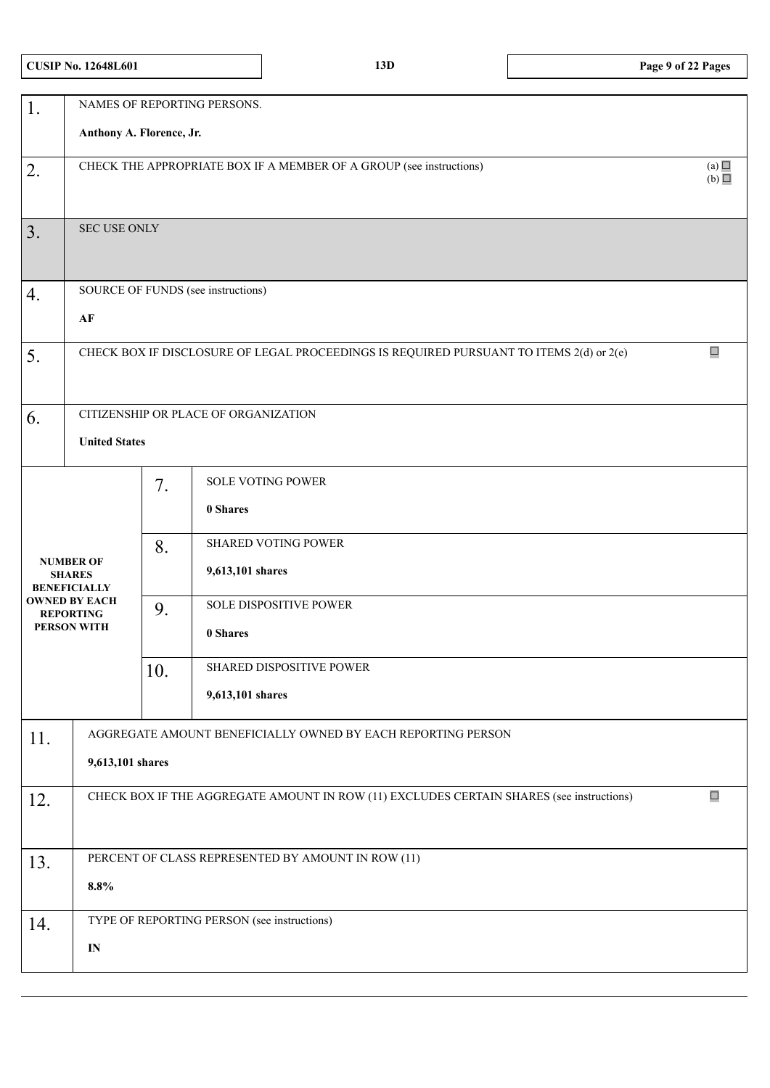|  |  | <b>CUSIP No. 12648L601</b> |
|--|--|----------------------------|
|--|--|----------------------------|

| 1.                                                                                                                         | NAMES OF REPORTING PERSONS.                                                                        |                       |                                                                                                                                                                       |  |  |  |
|----------------------------------------------------------------------------------------------------------------------------|----------------------------------------------------------------------------------------------------|-----------------------|-----------------------------------------------------------------------------------------------------------------------------------------------------------------------|--|--|--|
|                                                                                                                            | Anthony A. Florence, Jr.                                                                           |                       |                                                                                                                                                                       |  |  |  |
| 2.                                                                                                                         | (a)<br>CHECK THE APPROPRIATE BOX IF A MEMBER OF A GROUP (see instructions)<br>(b)                  |                       |                                                                                                                                                                       |  |  |  |
| 3.                                                                                                                         | SEC USE ONLY                                                                                       |                       |                                                                                                                                                                       |  |  |  |
| 4.                                                                                                                         | SOURCE OF FUNDS (see instructions)                                                                 |                       |                                                                                                                                                                       |  |  |  |
|                                                                                                                            | $\bf AF$                                                                                           |                       |                                                                                                                                                                       |  |  |  |
| 5.                                                                                                                         | $\Box$<br>CHECK BOX IF DISCLOSURE OF LEGAL PROCEEDINGS IS REQUIRED PURSUANT TO ITEMS 2(d) or 2(e)  |                       |                                                                                                                                                                       |  |  |  |
| 6.                                                                                                                         | CITIZENSHIP OR PLACE OF ORGANIZATION<br><b>United States</b>                                       |                       |                                                                                                                                                                       |  |  |  |
| <b>NUMBER OF</b><br><b>SHARES</b><br><b>BENEFICIALLY</b><br><b>OWNED BY EACH</b><br><b>REPORTING</b><br><b>PERSON WITH</b> |                                                                                                    | 7.<br>8.<br>9.<br>10. | SOLE VOTING POWER<br>0 Shares<br><b>SHARED VOTING POWER</b><br>9,613,101 shares<br>SOLE DISPOSITIVE POWER<br>0 Shares<br>SHARED DISPOSITIVE POWER<br>9,613,101 shares |  |  |  |
| 11.                                                                                                                        | AGGREGATE AMOUNT BENEFICIALLY OWNED BY EACH REPORTING PERSON<br>9,613,101 shares                   |                       |                                                                                                                                                                       |  |  |  |
| 12.                                                                                                                        | $\Box$<br>CHECK BOX IF THE AGGREGATE AMOUNT IN ROW (11) EXCLUDES CERTAIN SHARES (see instructions) |                       |                                                                                                                                                                       |  |  |  |
| 13.                                                                                                                        | PERCENT OF CLASS REPRESENTED BY AMOUNT IN ROW (11)<br>8.8%                                         |                       |                                                                                                                                                                       |  |  |  |
| 14.                                                                                                                        | TYPE OF REPORTING PERSON (see instructions)<br>$\mathbf{IN}$                                       |                       |                                                                                                                                                                       |  |  |  |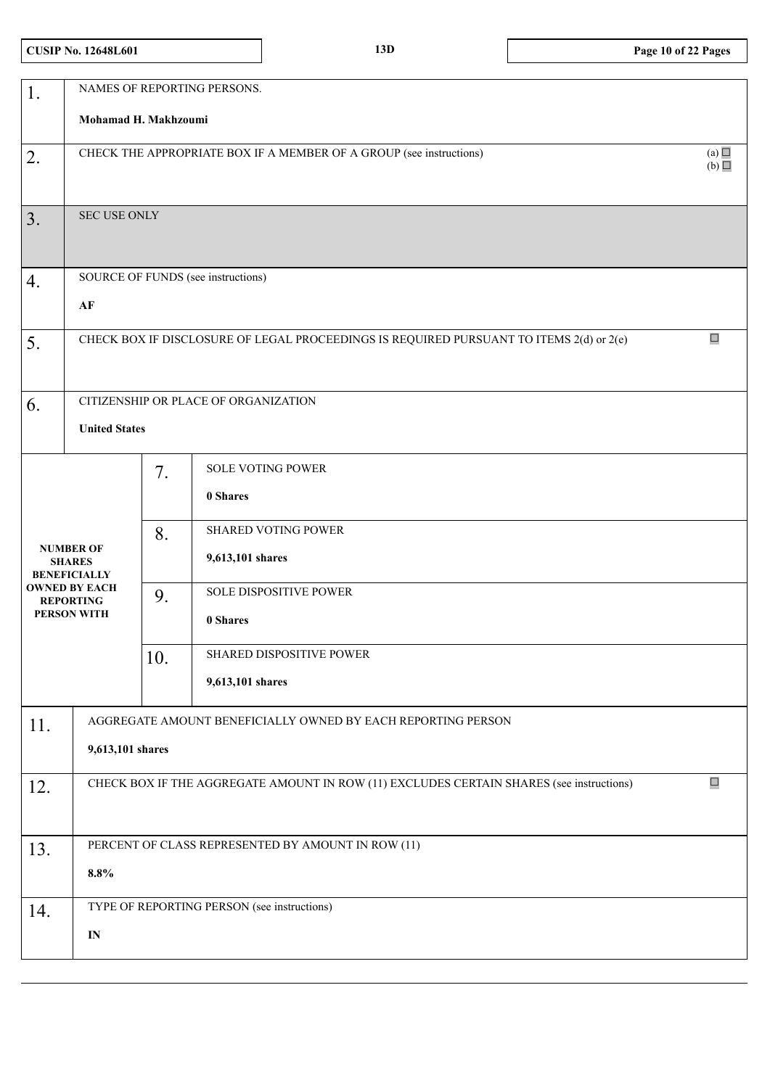# **CUSIP No. 12648L601 13D Page 10 of 22 Pages**

| 1.  | NAMES OF REPORTING PERSONS.                                                                        |     |                                                              |  |  |  |
|-----|----------------------------------------------------------------------------------------------------|-----|--------------------------------------------------------------|--|--|--|
|     | Mohamad H. Makhzoumi                                                                               |     |                                                              |  |  |  |
| 2.  | CHECK THE APPROPRIATE BOX IF A MEMBER OF A GROUP (see instructions)                                |     |                                                              |  |  |  |
|     |                                                                                                    |     |                                                              |  |  |  |
| 3.  | <b>SEC USE ONLY</b>                                                                                |     |                                                              |  |  |  |
|     |                                                                                                    |     |                                                              |  |  |  |
| 4.  | SOURCE OF FUNDS (see instructions)                                                                 |     |                                                              |  |  |  |
|     | AF                                                                                                 |     |                                                              |  |  |  |
| 5.  | CHECK BOX IF DISCLOSURE OF LEGAL PROCEEDINGS IS REQUIRED PURSUANT TO ITEMS 2(d) or 2(e)            |     |                                                              |  |  |  |
|     |                                                                                                    |     |                                                              |  |  |  |
| 6.  |                                                                                                    |     | CITIZENSHIP OR PLACE OF ORGANIZATION                         |  |  |  |
|     | <b>United States</b>                                                                               |     |                                                              |  |  |  |
|     |                                                                                                    | 7.  | <b>SOLE VOTING POWER</b>                                     |  |  |  |
|     |                                                                                                    |     | 0 Shares                                                     |  |  |  |
|     |                                                                                                    | 8.  | <b>SHARED VOTING POWER</b>                                   |  |  |  |
|     | <b>NUMBER OF</b><br><b>SHARES</b><br><b>BENEFICIALLY</b>                                           |     | 9,613,101 shares                                             |  |  |  |
|     | <b>OWNED BY EACH</b><br><b>REPORTING</b>                                                           | 9.  | SOLE DISPOSITIVE POWER                                       |  |  |  |
|     | <b>PERSON WITH</b>                                                                                 |     | 0 Shares                                                     |  |  |  |
|     |                                                                                                    | 10. | SHARED DISPOSITIVE POWER                                     |  |  |  |
|     |                                                                                                    |     | 9,613,101 shares                                             |  |  |  |
| 11. |                                                                                                    |     | AGGREGATE AMOUNT BENEFICIALLY OWNED BY EACH REPORTING PERSON |  |  |  |
|     | 9,613,101 shares                                                                                   |     |                                                              |  |  |  |
| 12. | $\Box$<br>CHECK BOX IF THE AGGREGATE AMOUNT IN ROW (11) EXCLUDES CERTAIN SHARES (see instructions) |     |                                                              |  |  |  |
|     |                                                                                                    |     |                                                              |  |  |  |
| 13. | PERCENT OF CLASS REPRESENTED BY AMOUNT IN ROW (11)                                                 |     |                                                              |  |  |  |
|     | $\pmb{8.8\%}$                                                                                      |     |                                                              |  |  |  |
| 14. |                                                                                                    |     | TYPE OF REPORTING PERSON (see instructions)                  |  |  |  |
|     | ${\bf IN}$                                                                                         |     |                                                              |  |  |  |
|     |                                                                                                    |     |                                                              |  |  |  |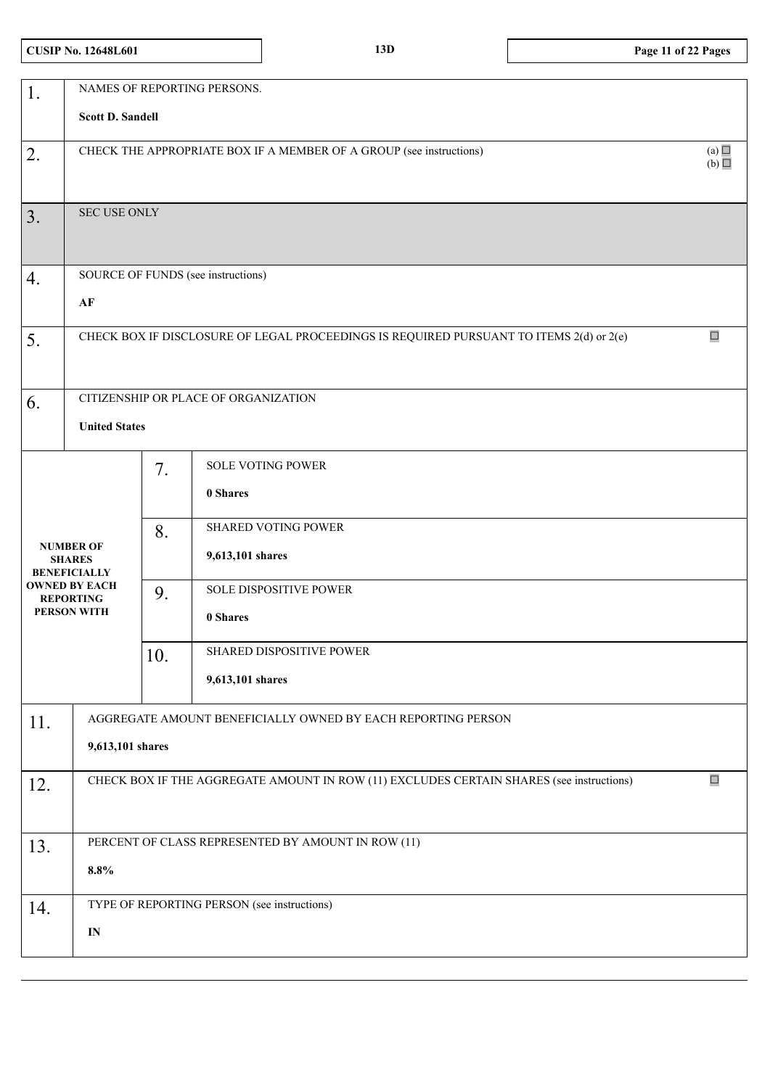# **CUSIP No. 12648L601 13D Page 11 of 22 Pages**

| 1.                                                                                                                         | NAMES OF REPORTING PERSONS.                                                                        |                       |                                                                                                                                                                       |  |  |  |
|----------------------------------------------------------------------------------------------------------------------------|----------------------------------------------------------------------------------------------------|-----------------------|-----------------------------------------------------------------------------------------------------------------------------------------------------------------------|--|--|--|
|                                                                                                                            | <b>Scott D. Sandell</b>                                                                            |                       |                                                                                                                                                                       |  |  |  |
| 2.                                                                                                                         | (a)<br>CHECK THE APPROPRIATE BOX IF A MEMBER OF A GROUP (see instructions)<br>(b)                  |                       |                                                                                                                                                                       |  |  |  |
| 3.                                                                                                                         | SEC USE ONLY                                                                                       |                       |                                                                                                                                                                       |  |  |  |
| 4.                                                                                                                         | SOURCE OF FUNDS (see instructions)                                                                 |                       |                                                                                                                                                                       |  |  |  |
|                                                                                                                            | AF                                                                                                 |                       |                                                                                                                                                                       |  |  |  |
| 5.                                                                                                                         | $\Box$<br>CHECK BOX IF DISCLOSURE OF LEGAL PROCEEDINGS IS REQUIRED PURSUANT TO ITEMS 2(d) or 2(e)  |                       |                                                                                                                                                                       |  |  |  |
| 6.                                                                                                                         |                                                                                                    |                       | CITIZENSHIP OR PLACE OF ORGANIZATION                                                                                                                                  |  |  |  |
|                                                                                                                            | <b>United States</b>                                                                               |                       |                                                                                                                                                                       |  |  |  |
| <b>NUMBER OF</b><br><b>SHARES</b><br><b>BENEFICIALLY</b><br><b>OWNED BY EACH</b><br><b>REPORTING</b><br><b>PERSON WITH</b> |                                                                                                    | 7.<br>8.<br>9.<br>10. | <b>SOLE VOTING POWER</b><br>0 Shares<br>SHARED VOTING POWER<br>9,613,101 shares<br>SOLE DISPOSITIVE POWER<br>0 Shares<br>SHARED DISPOSITIVE POWER<br>9,613,101 shares |  |  |  |
| 11.                                                                                                                        | AGGREGATE AMOUNT BENEFICIALLY OWNED BY EACH REPORTING PERSON<br>9,613,101 shares                   |                       |                                                                                                                                                                       |  |  |  |
| 12.                                                                                                                        | $\Box$<br>CHECK BOX IF THE AGGREGATE AMOUNT IN ROW (11) EXCLUDES CERTAIN SHARES (see instructions) |                       |                                                                                                                                                                       |  |  |  |
| 13.                                                                                                                        | PERCENT OF CLASS REPRESENTED BY AMOUNT IN ROW (11)                                                 |                       |                                                                                                                                                                       |  |  |  |
|                                                                                                                            | $8.8\%$                                                                                            |                       |                                                                                                                                                                       |  |  |  |
| 14.                                                                                                                        |                                                                                                    |                       | TYPE OF REPORTING PERSON (see instructions)                                                                                                                           |  |  |  |
|                                                                                                                            | IN                                                                                                 |                       |                                                                                                                                                                       |  |  |  |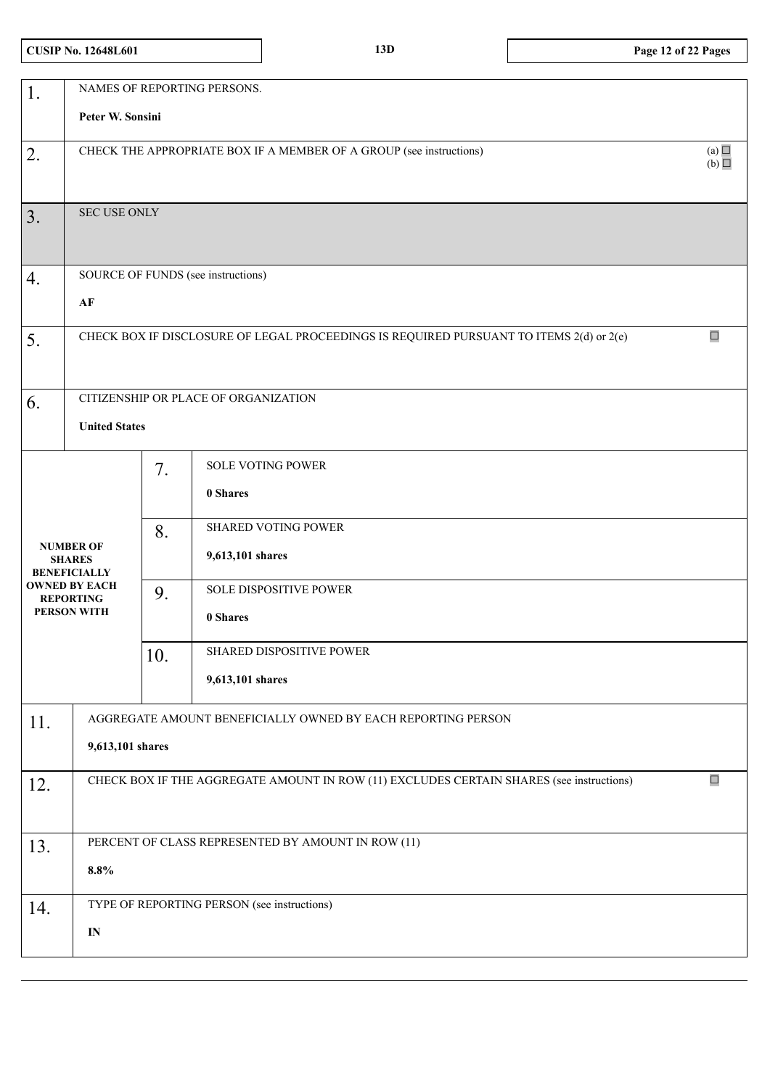# **CUSIP No. 12648L601 13D Page 12 of 22 Pages**

| 1.         | NAMES OF REPORTING PERSONS.                                                       |     |                                                                                          |        |  |  |
|------------|-----------------------------------------------------------------------------------|-----|------------------------------------------------------------------------------------------|--------|--|--|
|            | Peter W. Sonsini                                                                  |     |                                                                                          |        |  |  |
| 2.         | (a)<br>CHECK THE APPROPRIATE BOX IF A MEMBER OF A GROUP (see instructions)<br>(b) |     |                                                                                          |        |  |  |
|            |                                                                                   |     |                                                                                          |        |  |  |
| $\vert$ 3. | SEC USE ONLY                                                                      |     |                                                                                          |        |  |  |
|            |                                                                                   |     |                                                                                          |        |  |  |
| 4.         | SOURCE OF FUNDS (see instructions)                                                |     |                                                                                          |        |  |  |
|            | $\bf AF$                                                                          |     |                                                                                          |        |  |  |
| 5.         |                                                                                   |     | CHECK BOX IF DISCLOSURE OF LEGAL PROCEEDINGS IS REQUIRED PURSUANT TO ITEMS 2(d) or 2(e)  | $\Box$ |  |  |
|            |                                                                                   |     |                                                                                          |        |  |  |
| 6.         |                                                                                   |     | CITIZENSHIP OR PLACE OF ORGANIZATION                                                     |        |  |  |
|            | <b>United States</b>                                                              |     |                                                                                          |        |  |  |
|            |                                                                                   | 7.  | <b>SOLE VOTING POWER</b>                                                                 |        |  |  |
|            |                                                                                   |     | 0 Shares                                                                                 |        |  |  |
|            |                                                                                   | 8.  | <b>SHARED VOTING POWER</b>                                                               |        |  |  |
|            | <b>NUMBER OF</b><br><b>SHARES</b><br><b>BENEFICIALLY</b>                          |     | 9,613,101 shares                                                                         |        |  |  |
|            | <b>OWNED BY EACH</b><br><b>REPORTING</b>                                          | 9.  | SOLE DISPOSITIVE POWER                                                                   |        |  |  |
|            | <b>PERSON WITH</b>                                                                |     | 0 Shares                                                                                 |        |  |  |
|            |                                                                                   | 10. | SHARED DISPOSITIVE POWER                                                                 |        |  |  |
|            |                                                                                   |     | 9,613,101 shares                                                                         |        |  |  |
| 11.        |                                                                                   |     | AGGREGATE AMOUNT BENEFICIALLY OWNED BY EACH REPORTING PERSON                             |        |  |  |
|            | 9,613,101 shares                                                                  |     |                                                                                          |        |  |  |
| 12.        |                                                                                   |     | CHECK BOX IF THE AGGREGATE AMOUNT IN ROW (11) EXCLUDES CERTAIN SHARES (see instructions) | $\Box$ |  |  |
|            |                                                                                   |     |                                                                                          |        |  |  |
| 13.        |                                                                                   |     | PERCENT OF CLASS REPRESENTED BY AMOUNT IN ROW (11)                                       |        |  |  |
|            | $8.8\%$                                                                           |     |                                                                                          |        |  |  |
| 14.        |                                                                                   |     |                                                                                          |        |  |  |
|            | $\mathbf{IN}$                                                                     |     |                                                                                          |        |  |  |
|            | TYPE OF REPORTING PERSON (see instructions)                                       |     |                                                                                          |        |  |  |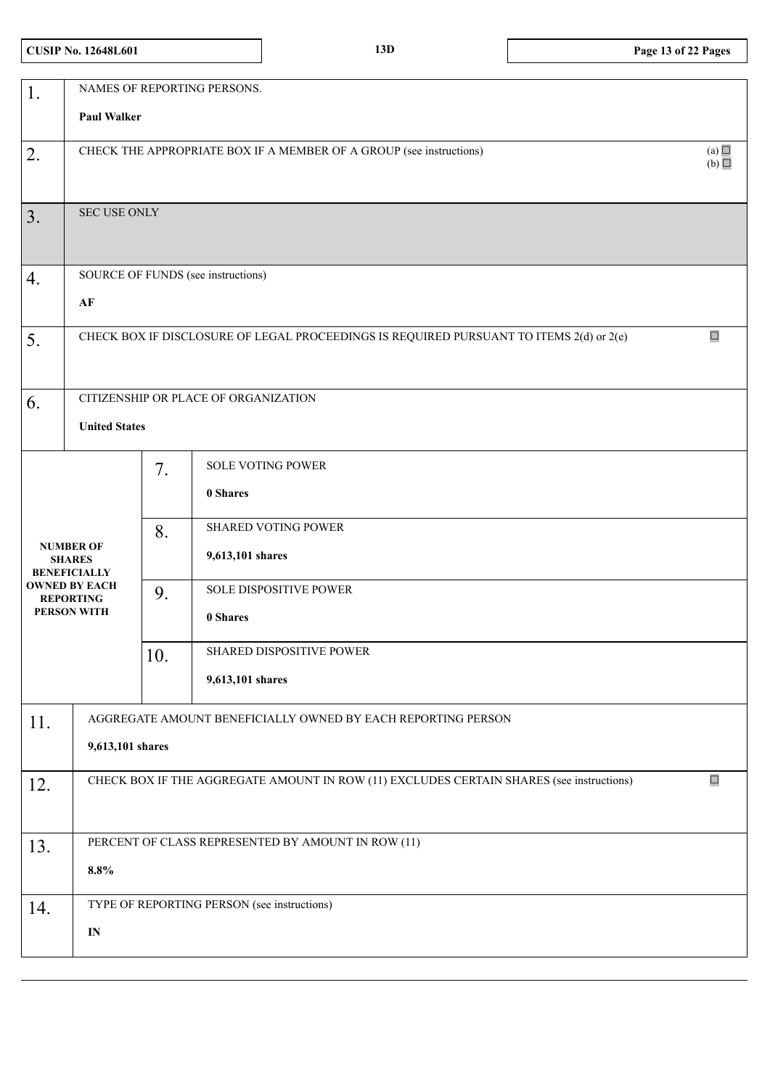# **CUSIP No. 12648L601 13D Page 13 of 22 Pages**

| 1.                                                                                                                         | NAMES OF REPORTING PERSONS.                                                                        |                       |                                                                                                                                                                              |  |  |
|----------------------------------------------------------------------------------------------------------------------------|----------------------------------------------------------------------------------------------------|-----------------------|------------------------------------------------------------------------------------------------------------------------------------------------------------------------------|--|--|
|                                                                                                                            | <b>Paul Walker</b>                                                                                 |                       |                                                                                                                                                                              |  |  |
| 2.                                                                                                                         | (a) $\Box$<br>CHECK THE APPROPRIATE BOX IF A MEMBER OF A GROUP (see instructions)<br>(b)           |                       |                                                                                                                                                                              |  |  |
| 3.                                                                                                                         | <b>SEC USE ONLY</b>                                                                                |                       |                                                                                                                                                                              |  |  |
| 4.                                                                                                                         | SOURCE OF FUNDS (see instructions)                                                                 |                       |                                                                                                                                                                              |  |  |
|                                                                                                                            | $\bf AF$                                                                                           |                       |                                                                                                                                                                              |  |  |
| 5.                                                                                                                         | $\Box$<br>CHECK BOX IF DISCLOSURE OF LEGAL PROCEEDINGS IS REQUIRED PURSUANT TO ITEMS 2(d) or 2(e)  |                       |                                                                                                                                                                              |  |  |
| 6.                                                                                                                         | CITIZENSHIP OR PLACE OF ORGANIZATION                                                               |                       |                                                                                                                                                                              |  |  |
|                                                                                                                            | <b>United States</b>                                                                               |                       |                                                                                                                                                                              |  |  |
| <b>NUMBER OF</b><br><b>SHARES</b><br><b>BENEFICIALLY</b><br><b>OWNED BY EACH</b><br><b>REPORTING</b><br><b>PERSON WITH</b> |                                                                                                    | 7.<br>8.<br>9.<br>10. | <b>SOLE VOTING POWER</b><br>0 Shares<br><b>SHARED VOTING POWER</b><br>9,613,101 shares<br>SOLE DISPOSITIVE POWER<br>0 Shares<br>SHARED DISPOSITIVE POWER<br>9,613,101 shares |  |  |
| 11.                                                                                                                        | AGGREGATE AMOUNT BENEFICIALLY OWNED BY EACH REPORTING PERSON<br>9,613,101 shares                   |                       |                                                                                                                                                                              |  |  |
| 12.                                                                                                                        | $\Box$<br>CHECK BOX IF THE AGGREGATE AMOUNT IN ROW (11) EXCLUDES CERTAIN SHARES (see instructions) |                       |                                                                                                                                                                              |  |  |
| 13.                                                                                                                        | PERCENT OF CLASS REPRESENTED BY AMOUNT IN ROW (11)                                                 |                       |                                                                                                                                                                              |  |  |
|                                                                                                                            | 8.8%                                                                                               |                       |                                                                                                                                                                              |  |  |
| 14.                                                                                                                        |                                                                                                    |                       | TYPE OF REPORTING PERSON (see instructions)                                                                                                                                  |  |  |
|                                                                                                                            | $\mathbf{IN}$                                                                                      |                       |                                                                                                                                                                              |  |  |
|                                                                                                                            |                                                                                                    |                       |                                                                                                                                                                              |  |  |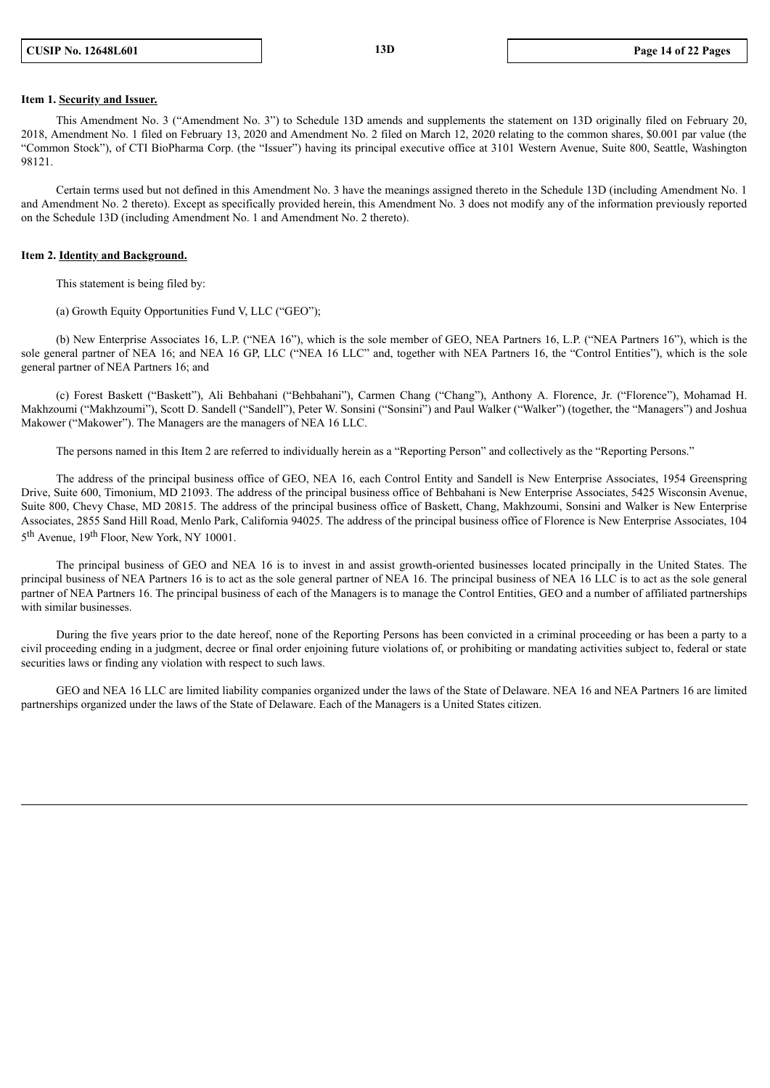#### **Item 1. Security and Issuer.**

This Amendment No. 3 ("Amendment No. 3") to Schedule 13D amends and supplements the statement on 13D originally filed on February 20, 2018, Amendment No. 1 filed on February 13, 2020 and Amendment No. 2 filed on March 12, 2020 relating to the common shares, \$0.001 par value (the "Common Stock"), of CTI BioPharma Corp. (the "Issuer") having its principal executive office at 3101 Western Avenue, Suite 800, Seattle, Washington 98121.

Certain terms used but not defined in this Amendment No. 3 have the meanings assigned thereto in the Schedule 13D (including Amendment No. 1 and Amendment No. 2 thereto). Except as specifically provided herein, this Amendment No. 3 does not modify any of the information previously reported on the Schedule 13D (including Amendment No. 1 and Amendment No. 2 thereto).

#### **Item 2. Identity and Background.**

This statement is being filed by:

(a) Growth Equity Opportunities Fund V, LLC ("GEO");

(b) New Enterprise Associates 16, L.P. ("NEA 16"), which is the sole member of GEO, NEA Partners 16, L.P. ("NEA Partners 16"), which is the sole general partner of NEA 16; and NEA 16 GP, LLC ("NEA 16 LLC" and, together with NEA Partners 16, the "Control Entities"), which is the sole general partner of NEA Partners 16; and

(c) Forest Baskett ("Baskett"), Ali Behbahani ("Behbahani"), Carmen Chang ("Chang"), Anthony A. Florence, Jr. ("Florence"), Mohamad H. Makhzoumi ("Makhzoumi"), Scott D. Sandell ("Sandell"), Peter W. Sonsini ("Sonsini") and Paul Walker ("Walker") (together, the "Managers") and Joshua Makower ("Makower"). The Managers are the managers of NEA 16 LLC.

The persons named in this Item 2 are referred to individually herein as a "Reporting Person" and collectively as the "Reporting Persons."

The address of the principal business office of GEO, NEA 16, each Control Entity and Sandell is New Enterprise Associates, 1954 Greenspring Drive, Suite 600, Timonium, MD 21093. The address of the principal business office of Behbahani is New Enterprise Associates, 5425 Wisconsin Avenue, Suite 800, Chevy Chase, MD 20815. The address of the principal business office of Baskett, Chang, Makhzoumi, Sonsini and Walker is New Enterprise Associates, 2855 Sand Hill Road, Menlo Park, California 94025. The address of the principal business office of Florence is New Enterprise Associates, 104 5<sup>th</sup> Avenue, 19<sup>th</sup> Floor, New York, NY 10001.

The principal business of GEO and NEA 16 is to invest in and assist growth-oriented businesses located principally in the United States. The principal business of NEA Partners 16 is to act as the sole general partner of NEA 16. The principal business of NEA 16 LLC is to act as the sole general partner of NEA Partners 16. The principal business of each of the Managers is to manage the Control Entities, GEO and a number of affiliated partnerships with similar businesses.

During the five years prior to the date hereof, none of the Reporting Persons has been convicted in a criminal proceeding or has been a party to a civil proceeding ending in a judgment, decree or final order enjoining future violations of, or prohibiting or mandating activities subject to, federal or state securities laws or finding any violation with respect to such laws.

GEO and NEA 16 LLC are limited liability companies organized under the laws of the State of Delaware. NEA 16 and NEA Partners 16 are limited partnerships organized under the laws of the State of Delaware. Each of the Managers is a United States citizen.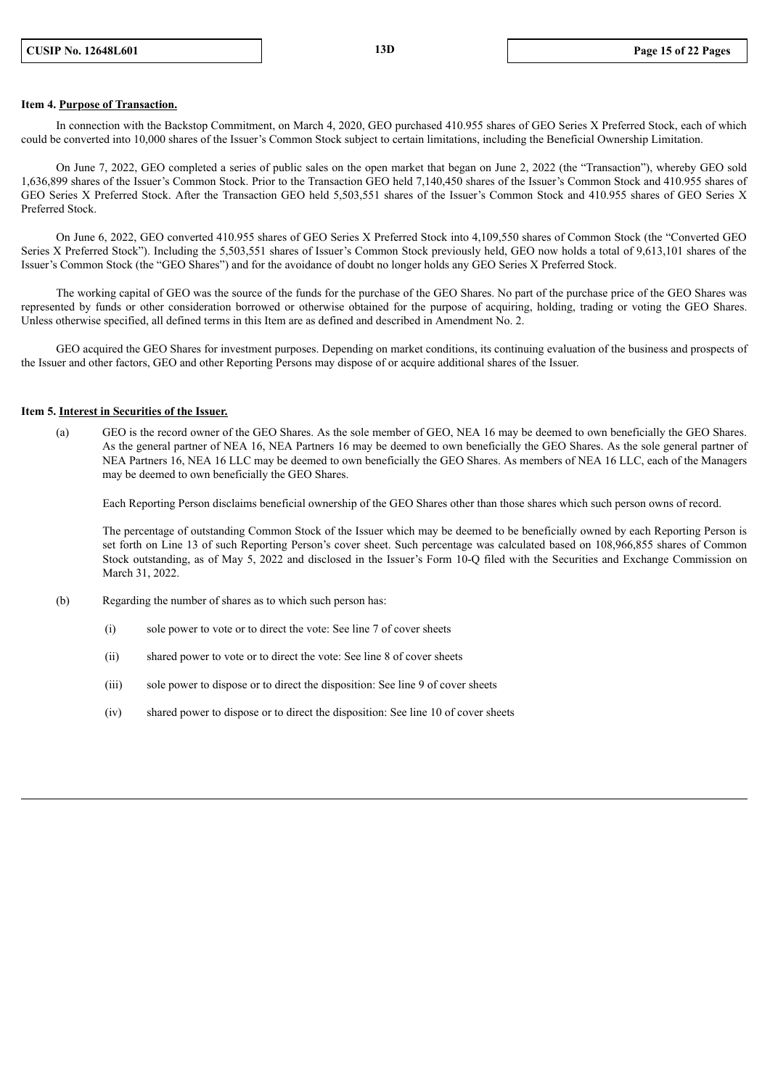### **Item 4. Purpose of Transaction.**

In connection with the Backstop Commitment, on March 4, 2020, GEO purchased 410.955 shares of GEO Series X Preferred Stock, each of which could be converted into 10,000 shares of the Issuer's Common Stock subject to certain limitations, including the Beneficial Ownership Limitation.

On June 7, 2022, GEO completed a series of public sales on the open market that began on June 2, 2022 (the "Transaction"), whereby GEO sold 1,636,899 shares of the Issuer's Common Stock. Prior to the Transaction GEO held 7,140,450 shares of the Issuer's Common Stock and 410.955 shares of GEO Series X Preferred Stock. After the Transaction GEO held 5,503,551 shares of the Issuer's Common Stock and 410.955 shares of GEO Series X Preferred Stock.

On June 6, 2022, GEO converted 410.955 shares of GEO Series X Preferred Stock into 4,109,550 shares of Common Stock (the "Converted GEO Series X Preferred Stock"). Including the 5,503,551 shares of Issuer's Common Stock previously held, GEO now holds a total of 9,613,101 shares of the Issuer's Common Stock (the "GEO Shares") and for the avoidance of doubt no longer holds any GEO Series X Preferred Stock.

The working capital of GEO was the source of the funds for the purchase of the GEO Shares. No part of the purchase price of the GEO Shares was represented by funds or other consideration borrowed or otherwise obtained for the purpose of acquiring, holding, trading or voting the GEO Shares. Unless otherwise specified, all defined terms in this Item are as defined and described in Amendment No. 2.

GEO acquired the GEO Shares for investment purposes. Depending on market conditions, its continuing evaluation of the business and prospects of the Issuer and other factors, GEO and other Reporting Persons may dispose of or acquire additional shares of the Issuer.

#### **Item 5. Interest in Securities of the Issuer.**

(a) GEO is the record owner of the GEO Shares. As the sole member of GEO, NEA 16 may be deemed to own beneficially the GEO Shares. As the general partner of NEA 16, NEA Partners 16 may be deemed to own beneficially the GEO Shares. As the sole general partner of NEA Partners 16, NEA 16 LLC may be deemed to own beneficially the GEO Shares. As members of NEA 16 LLC, each of the Managers may be deemed to own beneficially the GEO Shares.

Each Reporting Person disclaims beneficial ownership of the GEO Shares other than those shares which such person owns of record.

The percentage of outstanding Common Stock of the Issuer which may be deemed to be beneficially owned by each Reporting Person is set forth on Line 13 of such Reporting Person's cover sheet. Such percentage was calculated based on 108,966,855 shares of Common Stock outstanding, as of May 5, 2022 and disclosed in the Issuer's Form 10-Q filed with the Securities and Exchange Commission on March 31, 2022.

- (b) Regarding the number of shares as to which such person has:
	- (i) sole power to vote or to direct the vote: See line 7 of cover sheets
	- (ii) shared power to vote or to direct the vote: See line 8 of cover sheets
	- (iii) sole power to dispose or to direct the disposition: See line 9 of cover sheets
	- (iv) shared power to dispose or to direct the disposition: See line 10 of cover sheets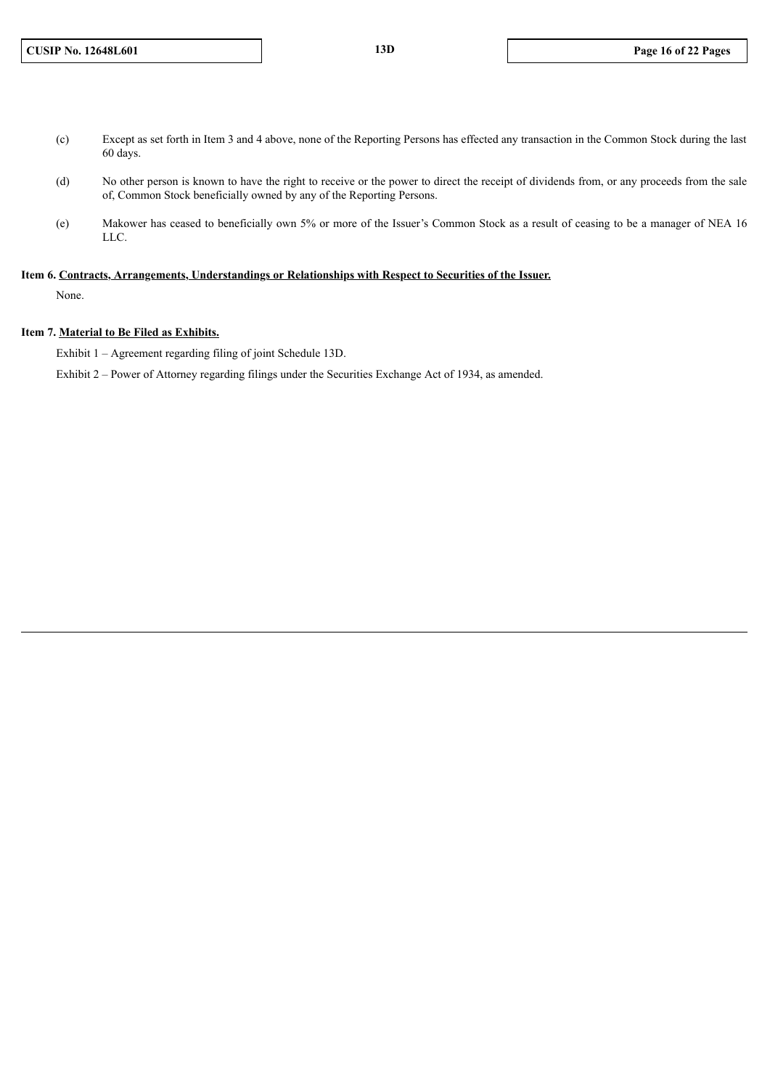- (c) Except as set forth in Item 3 and 4 above, none of the Reporting Persons has effected any transaction in the Common Stock during the last 60 days.
- (d) No other person is known to have the right to receive or the power to direct the receipt of dividends from, or any proceeds from the sale of, Common Stock beneficially owned by any of the Reporting Persons.
- (e) Makower has ceased to beneficially own 5% or more of the Issuer's Common Stock as a result of ceasing to be a manager of NEA 16 LLC.

### **Item 6. Contracts, Arrangements, Understandings or Relationships with Respect to Securities of the Issuer.**

None.

### **Item 7. Material to Be Filed as Exhibits.**

Exhibit 1 – Agreement regarding filing of joint Schedule 13D.

Exhibit 2 – Power of Attorney regarding filings under the Securities Exchange Act of 1934, as amended.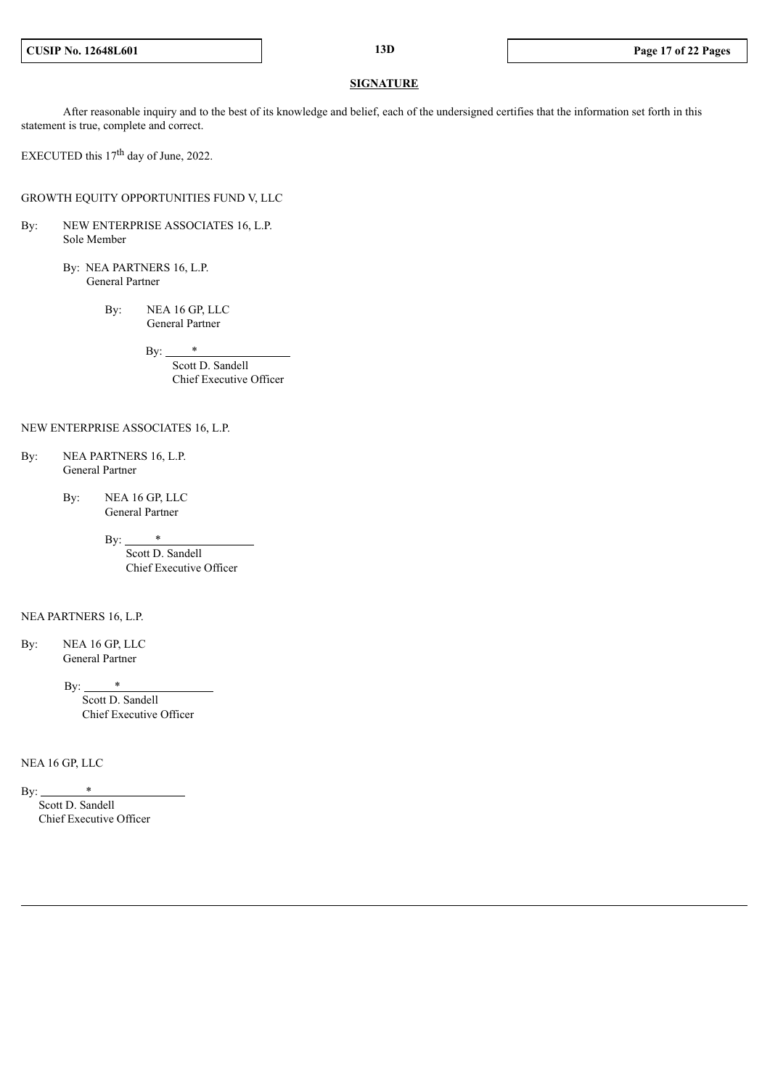#### **SIGNATURE**

After reasonable inquiry and to the best of its knowledge and belief, each of the undersigned certifies that the information set forth in this statement is true, complete and correct.

EXECUTED this  $17<sup>th</sup>$  day of June, 2022.

GROWTH EQUITY OPPORTUNITIES FUND V, LLC

By: NEW ENTERPRISE ASSOCIATES 16, L.P. Sole Member

> By: NEA PARTNERS 16, L.P. General Partner

> > By: NEA 16 GP, LLC General Partner

> > > $Bv:$  \*

Scott D. Sandell Chief Executive Officer

#### NEW ENTERPRISE ASSOCIATES 16, L.P.

- By: NEA PARTNERS 16, L.P. General Partner
	- By: NEA 16 GP, LLC General Partner
		- By:  $*$

Scott D. Sandell Chief Executive Officer

#### NEA PARTNERS 16, L.P.

By: NEA 16 GP, LLC General Partner

By:

Scott D. Sandell Chief Executive Officer

NEA 16 GP, LLC

By:  $*$ Scott D. Sandell Chief Executive Officer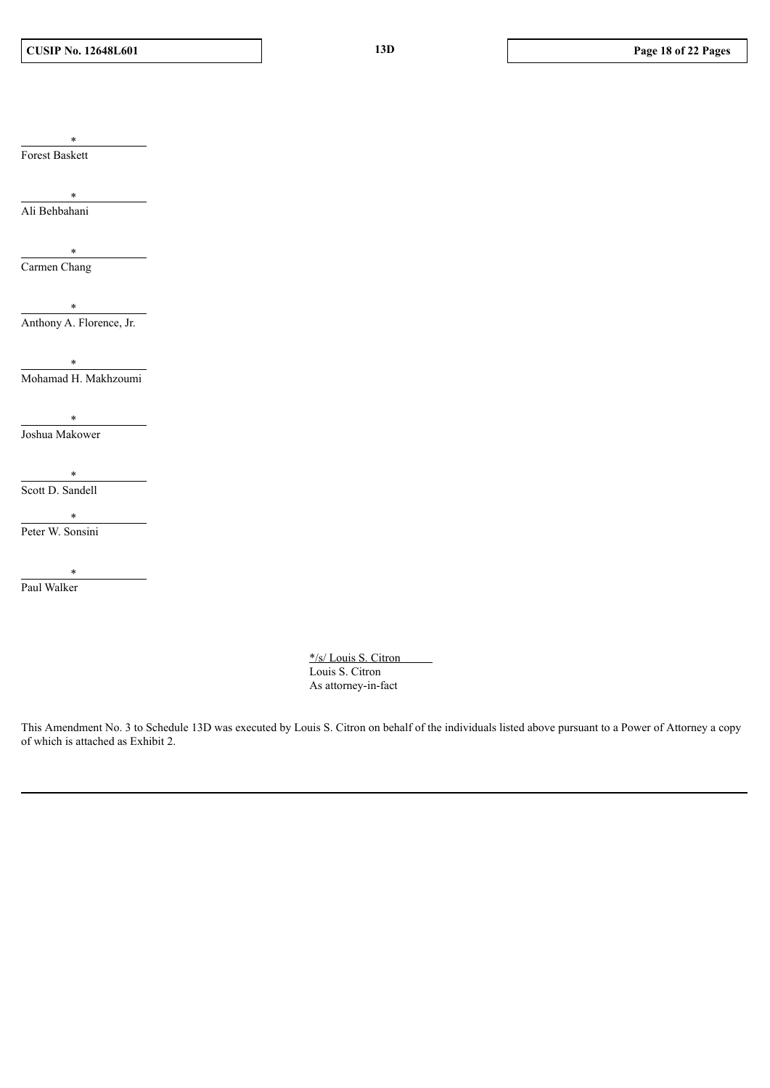Forest Baskett

\*

\* Ali Behbahani

\* Carmen Chang

\* Anthony A. Florence, Jr.

\* Mohamad H. Makhzoumi

\* Joshua Makower

\* Scott D. Sandell

\*

Peter W. Sonsini

\* Paul Walker

> \*/s/ Louis S. Citron Louis S. Citron As attorney-in-fact

This Amendment No. 3 to Schedule 13D was executed by Louis S. Citron on behalf of the individuals listed above pursuant to a Power of Attorney a copy of which is attached as Exhibit 2.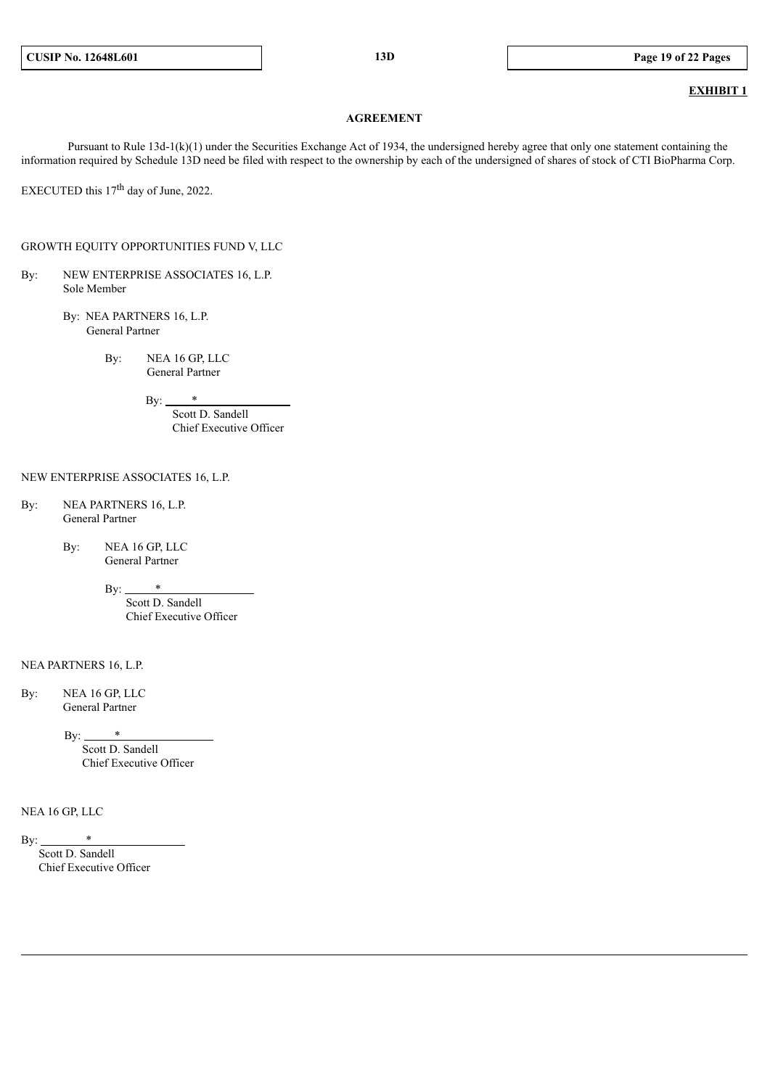### **EXHIBIT 1**

#### **AGREEMENT**

Pursuant to Rule 13d-1(k)(1) under the Securities Exchange Act of 1934, the undersigned hereby agree that only one statement containing the information required by Schedule 13D need be filed with respect to the ownership by each of the undersigned of shares of stock of CTI BioPharma Corp.

EXECUTED this  $17<sup>th</sup>$  day of June, 2022.

GROWTH EQUITY OPPORTUNITIES FUND V, LLC

- By: NEW ENTERPRISE ASSOCIATES 16, L.P. Sole Member
	- By: NEA PARTNERS 16, L.P. General Partner
		- By: NEA 16 GP, LLC General Partner

By:  $*$ 

Scott D. Sandell Chief Executive Officer

#### NEW ENTERPRISE ASSOCIATES 16, L.P.

- By: NEA PARTNERS 16, L.P. General Partner
	- By: NEA 16 GP, LLC General Partner
		- $By:$ Scott D. Sandell

Chief Executive Officer

NEA PARTNERS 16, L.P.

By: NEA 16 GP, LLC General Partner

 $\mathbf{By:}$  \*

Scott D. Sandell Chief Executive Officer

#### NEA 16 GP, LLC

By:  $*$ 

Scott D. Sandell Chief Executive Officer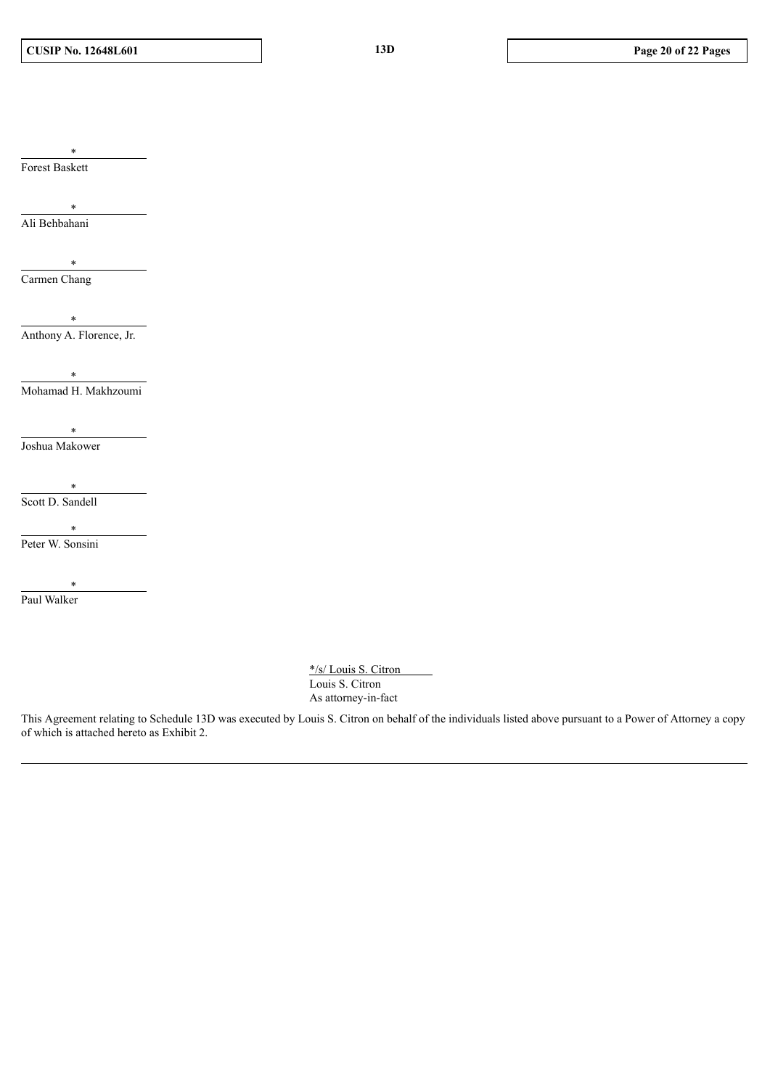**CUSIP No. 12648L601 13D Page 20 of 22 Pages**

Forest Baskett

\*

\* Ali Behbahani

Carmen Chang

\*

\* Anthony A. Florence, Jr.

\* Mohamad H. Makhzoumi

\* Joshua Makower

\* Scott D. Sandell

\*

Peter W. Sonsini

\* Paul Walker

> \*/s/ Louis S. Citron Louis S. Citron As attorney-in-fact

This Agreement relating to Schedule 13D was executed by Louis S. Citron on behalf of the individuals listed above pursuant to a Power of Attorney a copy of which is attached hereto as Exhibit 2.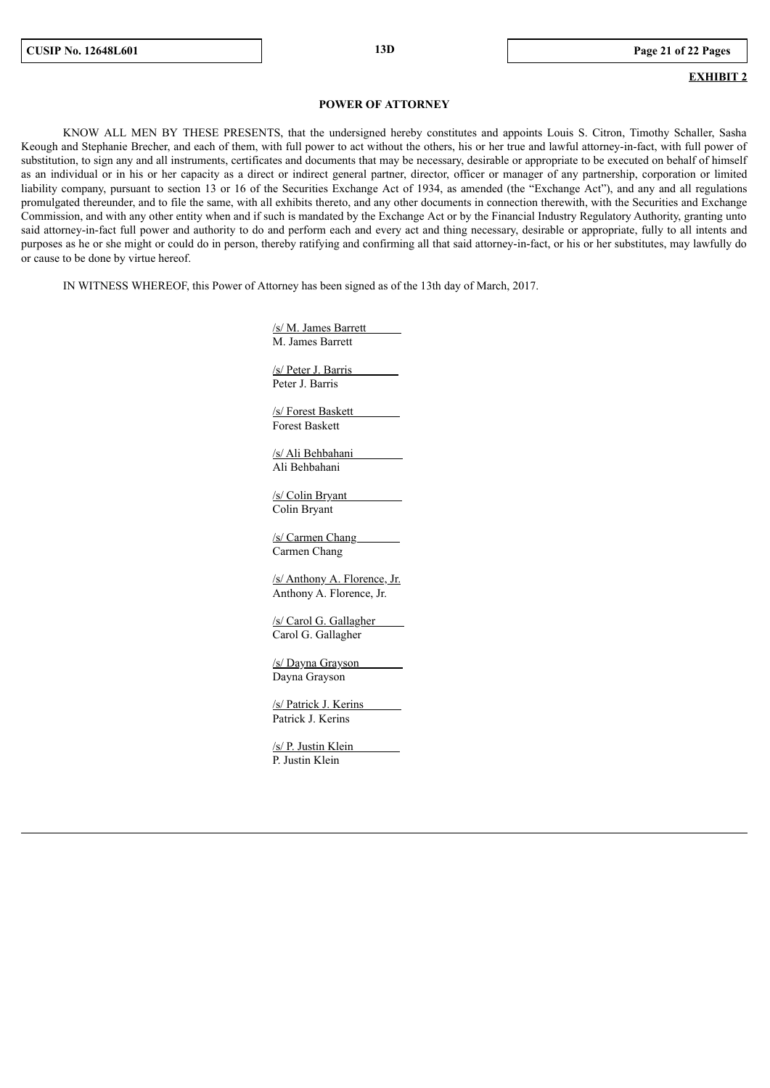### **EXHIBIT 2**

#### **POWER OF ATTORNEY**

KNOW ALL MEN BY THESE PRESENTS, that the undersigned hereby constitutes and appoints Louis S. Citron, Timothy Schaller, Sasha Keough and Stephanie Brecher, and each of them, with full power to act without the others, his or her true and lawful attorney-in-fact, with full power of substitution, to sign any and all instruments, certificates and documents that may be necessary, desirable or appropriate to be executed on behalf of himself as an individual or in his or her capacity as a direct or indirect general partner, director, officer or manager of any partnership, corporation or limited liability company, pursuant to section 13 or 16 of the Securities Exchange Act of 1934, as amended (the "Exchange Act"), and any and all regulations promulgated thereunder, and to file the same, with all exhibits thereto, and any other documents in connection therewith, with the Securities and Exchange Commission, and with any other entity when and if such is mandated by the Exchange Act or by the Financial Industry Regulatory Authority, granting unto said attorney-in-fact full power and authority to do and perform each and every act and thing necessary, desirable or appropriate, fully to all intents and purposes as he or she might or could do in person, thereby ratifying and confirming all that said attorney-in-fact, or his or her substitutes, may lawfully do or cause to be done by virtue hereof.

IN WITNESS WHEREOF, this Power of Attorney has been signed as of the 13th day of March, 2017.

/s/ M. James Barrett M. James Barrett

/s/ Peter J. Barris Peter J. Barris

/s/ Forest Baskett Forest Baskett

/s/ Ali Behbahani Ali Behbahani

/s/ Colin Bryant Colin Bryant

/s/ Carmen Chang Carmen Chang

/s/ Anthony A. Florence, Jr. Anthony A. Florence, Jr.

/s/ Carol G. Gallagher Carol G. Gallagher

/s/ Dayna Grayson Dayna Grayson

/s/ Patrick J. Kerins Patrick J. Kerins

/s/ P. Justin Klein P. Justin Klein